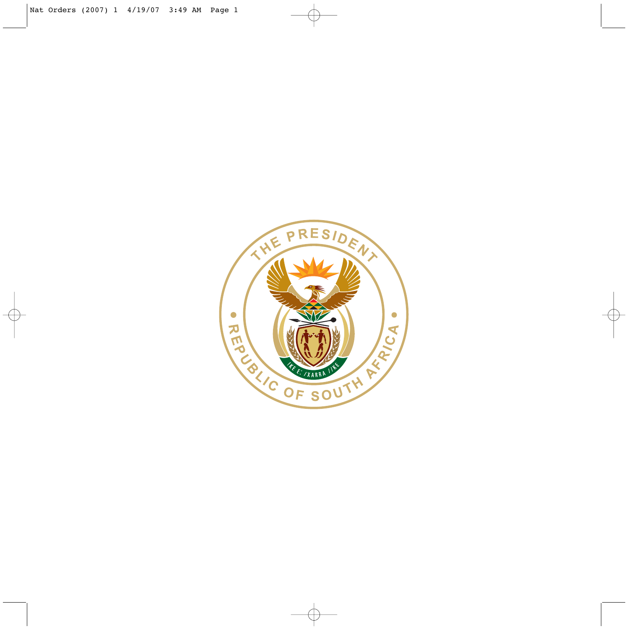

€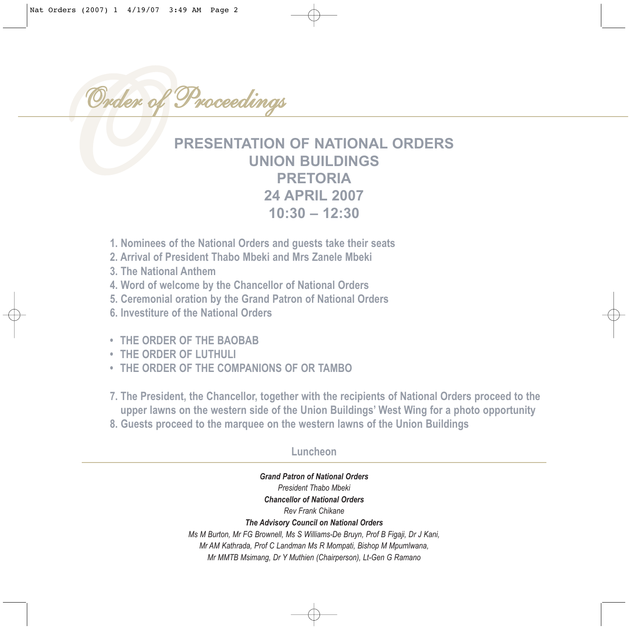Order o *Order of Proceedings*

### **PRESENTATION OF NATIONAL ORDERS UNION BUILDINGS PRETORIA 24 APRIL 2007 10:30 – 12:30**

- **1. Nominees of the National Orders and guests take their seats**
- **2. Arrival of President Thabo Mbeki and Mrs Zanele Mbeki**
- **3. The National Anthem**
- **4. Word of welcome by the Chancellor of National Orders**
- **5. Ceremonial oration by the Grand Patron of National Orders**
- **6. Investiture of the National Orders**
- **THE ORDER OF THE BAOBAB**
- **THE ORDER OF LUTHULI**
- **THE ORDER OF THE COMPANIONS OF OR TAMBO**

**7. The President, the Chancellor, together with the recipients of National Orders proceed to the upper lawns on the western side of the Union Buildings' West Wing for a photo opportunity**

**8. Guests proceed to the marquee on the western lawns of the Union Buildings**

#### **Luncheon**

*Grand Patron of National Orders President Thabo Mbeki Chancellor of National Orders Rev Frank Chikane The Advisory Council on National Orders Ms M Burton, Mr FG Brownell, Ms S Williams-De Bruyn, Prof B Figaji, Dr J Kani, Mr AM Kathrada, Prof C Landman Ms R Mompati, Bishop M Mpumlwana, Mr MMTB Msimang, Dr Y Muthien (Chairperson), Lt-Gen G Ramano*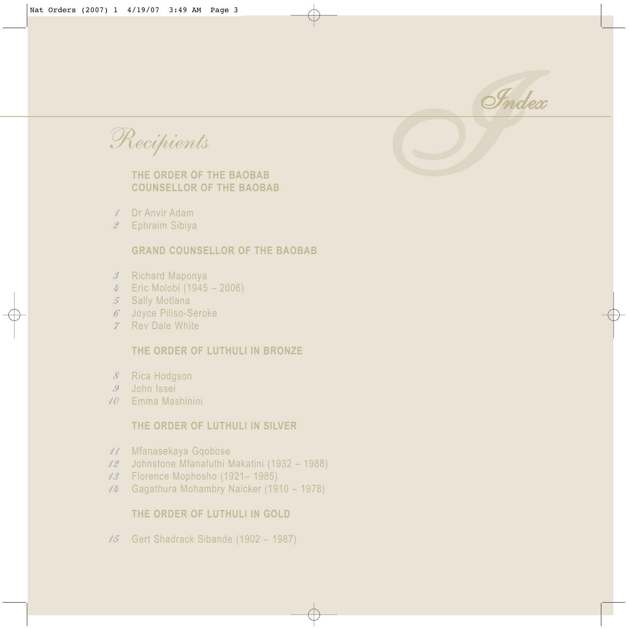

*Recipients* 

#### **THE ORDER OF THE BAOBAB COUNSELLOR OF THE BAOBAB**

- Dr Anvir Adam *1*
- Ephraim Sibiya *2*

#### **GRAND COUNSELLOR OF THE BAOBAB**

- 3 Richard Maponya
- Eric Molobi (1945 2006) *4*
- Sally Motlana *5*
- Joyce Piliso-Seroke *6*
- Rev Dale White *7*

#### **THE ORDER OF LUTHULI IN BRONZE**

- 8 Rica Hodgson
- John Issel *9*
- Emma Mashinini *10*

#### **THE ORDER OF LUTHULI IN SILVER**

- Mfanasekaya Gqobose *11*
- Johnstone Mfanafuthi Makatini (1932 1988) *12*
- Florence Mophosho (1921– 1985) *13*
- Gagathura Mohambry Naicker (1910 1978) *14*

#### **THE ORDER OF LUTHULI IN GOLD**

Gert Shadrack Sibande (1902 – 1987) *15*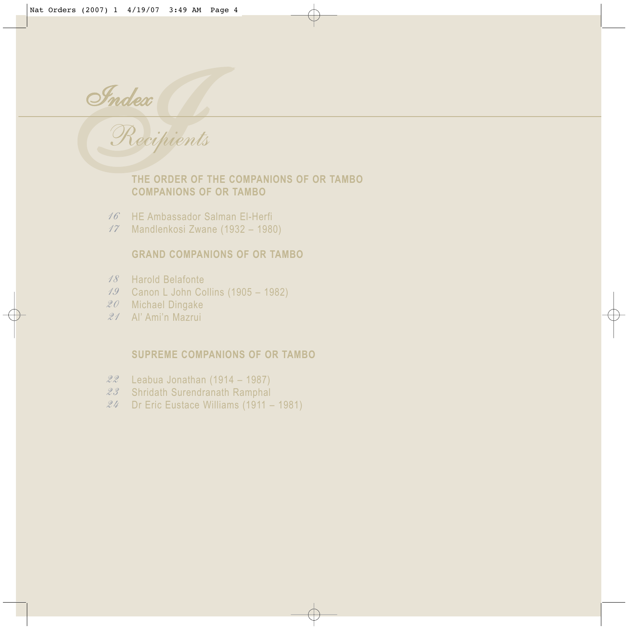Index *Index*

## *Recipients*  **THE ORDER OF THE COMPANIONS OF OR TAMBO**

- **COMPANIONS OF OR TAMBO**
- 16 HE Ambassador Salman El-Herfi
- Mandlenkosi Zwane (1932 1980) *17*

#### **GRAND COMPANIONS OF OR TAMBO**

- Harold Belafonte *18*
- Canon L John Collins (1905 1982) *19*
- Michael Dingake *20*
- Al' Ami'n Mazrui *21*

#### **SUPREME COMPANIONS OF OR TAMBO**

- Leabua Jonathan (1914 1987) *22*
- 23 Shridath Surendranath Ramphal
- Dr Eric Eustace Williams (1911 1981) *24*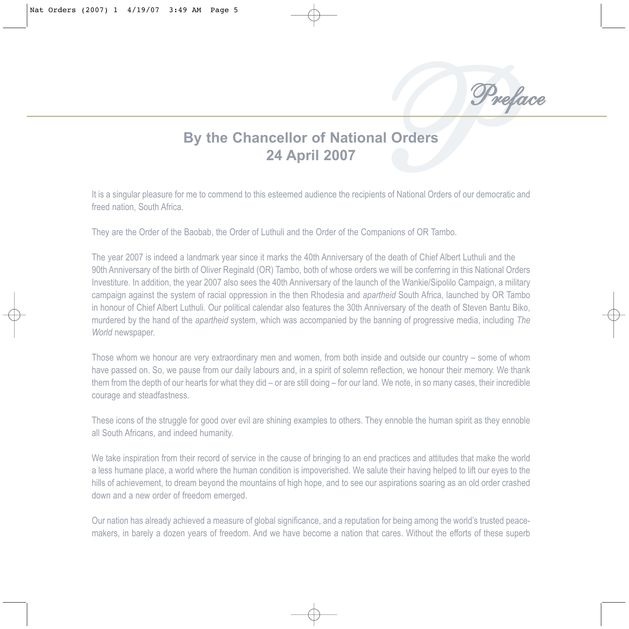

#### **By the Chancellor of National Orders 24 April 2007**

It is a singular pleasure for me to commend to this esteemed audience the recipients of National Orders of our democratic and freed nation, South Africa.

They are the Order of the Baobab, the Order of Luthuli and the Order of the Companions of OR Tambo.

The year 2007 is indeed a landmark year since it marks the 40th Anniversary of the death of Chief Albert Luthuli and the 90th Anniversary of the birth of Oliver Reginald (OR) Tambo, both of whose orders we will be conferring in this National Orders Investiture. In addition, the year 2007 also sees the 40th Anniversary of the launch of the Wankie/Sipolilo Campaign, a military campaign against the system of racial oppression in the then Rhodesia and *apartheid* South Africa, launched by OR Tambo in honour of Chief Albert Luthuli. Our political calendar also features the 30th Anniversary of the death of Steven Bantu Biko, murdered by the hand of the *apartheid* system, which was accompanied by the banning of progressive media, including *The* World newspaper.

Those whom we honour are very extraordinary men and women, from both inside and outside our country – some of whom have passed on. So, we pause from our daily labours and, in a spirit of solemn reflection, we honour their memory. We thank them from the depth of our hearts for what they did – or are still doing – for our land. We note, in so many cases, their incredible courage and steadfastness.

These icons of the struggle for good over evil are shining examples to others. They ennoble the human spirit as they ennoble all South Africans, and indeed humanity.

We take inspiration from their record of service in the cause of bringing to an end practices and attitudes that make the world a less humane place, a world where the human condition is impoverished. We salute their having helped to lift our eyes to the hills of achievement, to dream beyond the mountains of high hope, and to see our aspirations soaring as an old order crashed down and a new order of freedom emerged.

Our nation has already achieved a measure of global significance, and a reputation for being among the world's trusted peacemakers, in barely a dozen years of freedom. And we have become a nation that cares. Without the efforts of these superb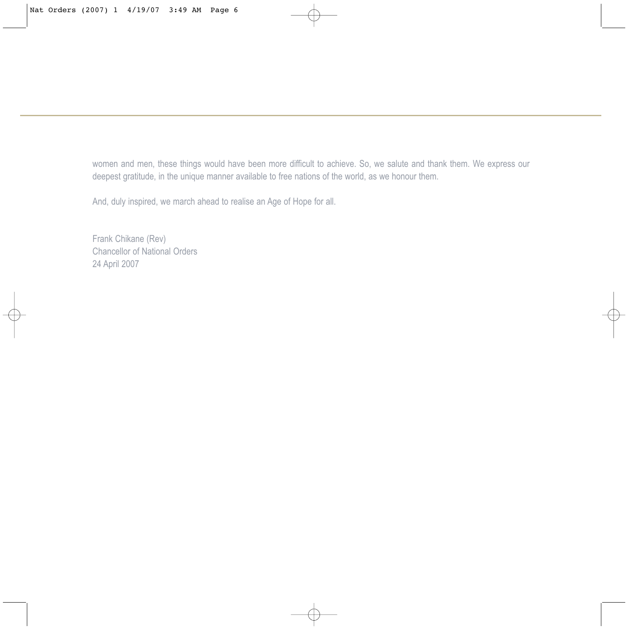women and men, these things would have been more difficult to achieve. So, we salute and thank them. We express our deepest gratitude, in the unique manner available to free nations of the world, as we honour them.

And, duly inspired, we march ahead to realise an Age of Hope for all.

Frank Chikane (Rev) Chancellor of National Orders 24 April 2007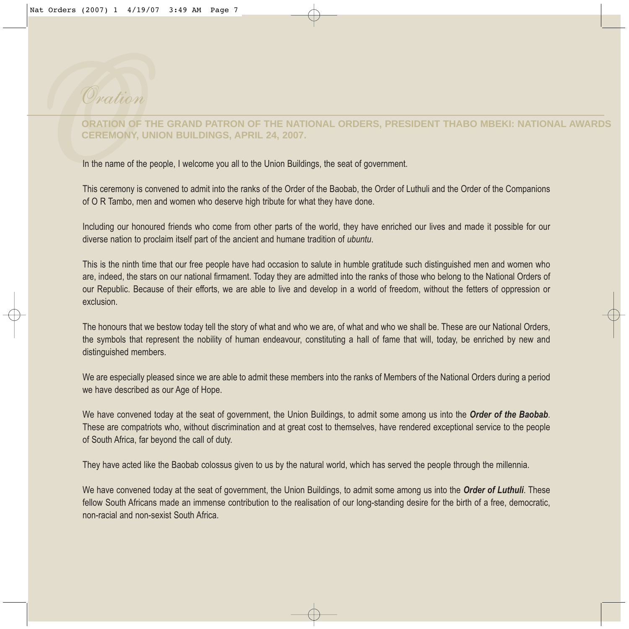# *Onation*<br> **ORATION O**<br>
CEREMONY<br>
In the name of<br>
This ceremony<br>
of OR Tambo, *Oration*

#### **ORATION OF THE GRAND PATRON OF THE NATIONAL ORDERS, PRESIDENT THABO MBEKI: NATIONAL AWARDS CEREMONY, UNION BUILDINGS, APRIL 24, 2007.**

In the name of the people, I welcome you all to the Union Buildings, the seat of government.

This ceremony is convened to admit into the ranks of the Order of the Baobab, the Order of Luthuli and the Order of the Companions of O R Tambo, men and women who deserve high tribute for what they have done.

Including our honoured friends who come from other parts of the world, they have enriched our lives and made it possible for our diverse nation to proclaim itself part of the ancient and humane tradition of *ubuntu*.

This is the ninth time that our free people have had occasion to salute in humble gratitude such distinguished men and women who are, indeed, the stars on our national firmament. Today they are admitted into the ranks of those who belong to the National Orders of our Republic. Because of their efforts, we are able to live and develop in a world of freedom, without the fetters of oppression or exclusion.

The honours that we bestow today tell the story of what and who we are, of what and who we shall be. These are our National Orders, the symbols that represent the nobility of human endeavour, constituting a hall of fame that will, today, be enriched by new and distinguished members.

We are especially pleased since we are able to admit these members into the ranks of Members of the National Orders during a period we have described as our Age of Hope.

We have convened today at the seat of government, the Union Buildings, to admit some among us into the *Order of the Baobab*. These are compatriots who, without discrimination and at great cost to themselves, have rendered exceptional service to the people of South Africa, far beyond the call of duty.

They have acted like the Baobab colossus given to us by the natural world, which has served the people through the millennia.

We have convened today at the seat of government, the Union Buildings, to admit some among us into the *Order of Luthuli*. These fellow South Africans made an immense contribution to the realisation of our long-standing desire for the birth of a free, democratic, non-racial and non-sexist South Africa.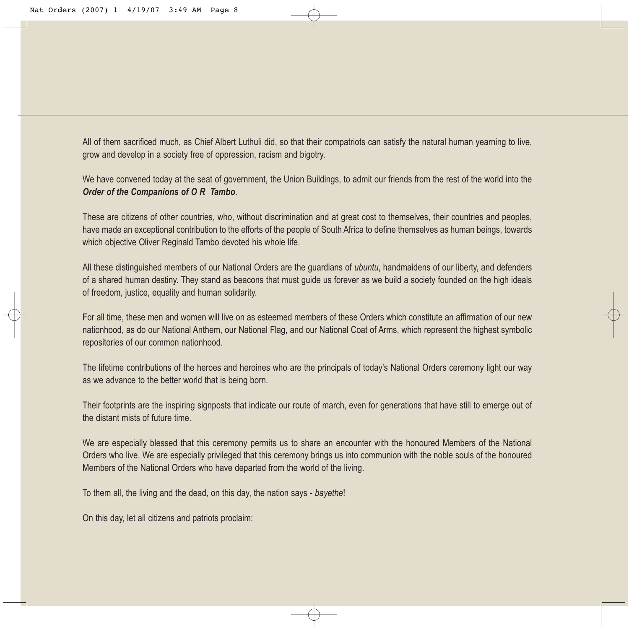All of them sacrificed much, as Chief Albert Luthuli did, so that their compatriots can satisfy the natural human yearning to live, grow and develop in a society free of oppression, racism and bigotry.

We have convened today at the seat of government, the Union Buildings, to admit our friends from the rest of the world into the *Order of the Companions of O R Tambo*.

These are citizens of other countries, who, without discrimination and at great cost to themselves, their countries and peoples, have made an exceptional contribution to the efforts of the people of South Africa to define themselves as human beings, towards which objective Oliver Reginald Tambo devoted his whole life.

All these distinguished members of our National Orders are the guardians of *ubuntu*, handmaidens of our liberty, and defenders of a shared human destiny. They stand as beacons that must guide us forever as we build a society founded on the high ideals of freedom, justice, equality and human solidarity.

For all time, these men and women will live on as esteemed members of these Orders which constitute an affirmation of our new nationhood, as do our National Anthem, our National Flag, and our National Coat of Arms, which represent the highest symbolic repositories of our common nationhood.

The lifetime contributions of the heroes and heroines who are the principals of today's National Orders ceremony light our way as we advance to the better world that is being born.

Their footprints are the inspiring signposts that indicate our route of march, even for generations that have still to emerge out of the distant mists of future time.

We are especially blessed that this ceremony permits us to share an encounter with the honoured Members of the National Orders who live. We are especially privileged that this ceremony brings us into communion with the noble souls of the honoured Members of the National Orders who have departed from the world of the living.

To them all, the living and the dead, on this day, the nation says - *bayethe*!

On this day, let all citizens and patriots proclaim: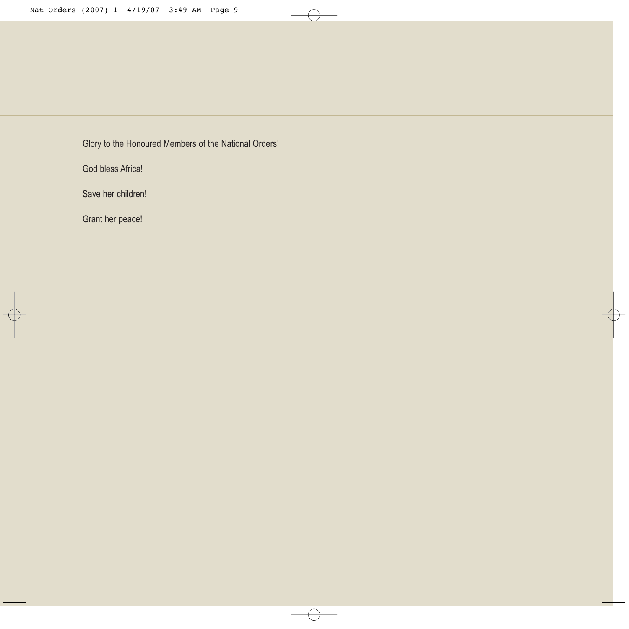Glory to the Honoured Members of the National Orders!

God bless Africa!

Save her children!

Grant her peace!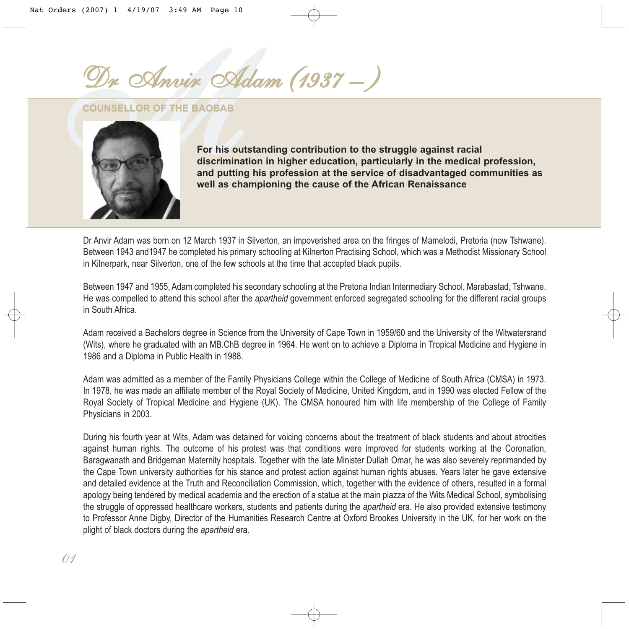*MDr Anvir Adam (1937 – )*

**COUNSELLOR OF THE BAOBAB**



**For his outstanding contribution to the struggle against racial discrimination in higher education, particularly in the medical profession, and putting his profession at the service of disadvantaged communities as well as championing the cause of the African Renaissance**

Dr Anvir Adam was born on 12 March 1937 in Silverton, an impoverished area on the fringes of Mamelodi, Pretoria (now Tshwane). Between 1943 and1947 he completed his primary schooling at Kilnerton Practising School, which was a Methodist Missionary School in Kilnerpark, near Silverton, one of the few schools at the time that accepted black pupils.

Between 1947 and 1955, Adam completed his secondary schooling at the Pretoria Indian Intermediary School, Marabastad, Tshwane. He was compelled to attend this school after the *apartheid* government enforced segregated schooling for the different racial groups in South Africa.

Adam received a Bachelors degree in Science from the University of Cape Town in 1959/60 and the University of the Witwatersrand (Wits), where he graduated with an MB.ChB degree in 1964. He went on to achieve a Diploma in Tropical Medicine and Hygiene in 1986 and a Diploma in Public Health in 1988.

Adam was admitted as a member of the Family Physicians College within the College of Medicine of South Africa (CMSA) in 1973. In 1978, he was made an affiliate member of the Royal Society of Medicine, United Kingdom, and in 1990 was elected Fellow of the Royal Society of Tropical Medicine and Hygiene (UK). The CMSA honoured him with life membership of the College of Family Physicians in 2003.

During his fourth year at Wits, Adam was detained for voicing concerns about the treatment of black students and about atrocities against human rights. The outcome of his protest was that conditions were improved for students working at the Coronation, Baragwanath and Bridgeman Maternity hospitals. Together with the late Minister Dullah Omar, he was also severely reprimanded by the Cape Town university authorities for his stance and protest action against human rights abuses. Years later he gave extensive and detailed evidence at the Truth and Reconciliation Commission, which, together with the evidence of others, resulted in a formal apology being tendered by medical academia and the erection of a statue at the main piazza of the Wits Medical School, symbolising the struggle of oppressed healthcare workers, students and patients during the *apartheid* era. He also provided extensive testimony to Professor Anne Digby, Director of the Humanities Research Centre at Oxford Brookes University in the UK, for her work on the plight of black doctors during the *apartheid* era.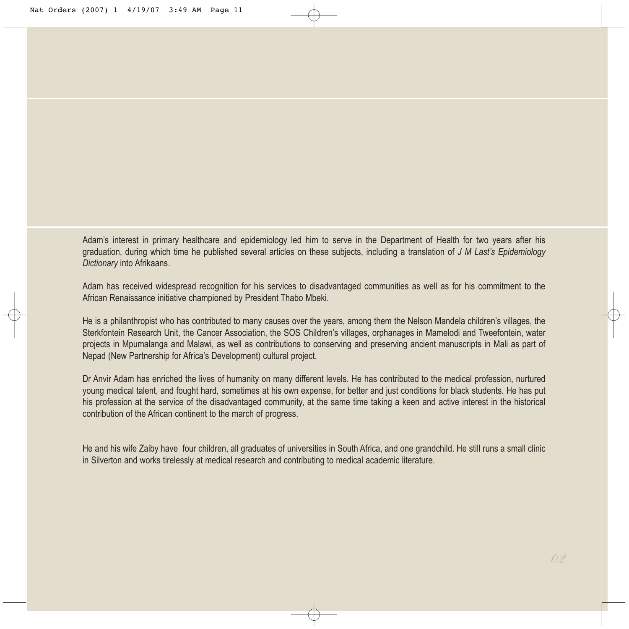Adam's interest in primary healthcare and epidemiology led him to serve in the Department of Health for two years after his graduation, during which time he published several articles on these subjects, including a translation of *J M Last's Epidemiology Dictionary* into Afrikaans.

Adam has received widespread recognition for his services to disadvantaged communities as well as for his commitment to the African Renaissance initiative championed by President Thabo Mbeki.

He is a philanthropist who has contributed to many causes over the years, among them the Nelson Mandela children's villages, the Sterkfontein Research Unit, the Cancer Association, the SOS Children's villages, orphanages in Mamelodi and Tweefontein, water projects in Mpumalanga and Malawi, as well as contributions to conserving and preserving ancient manuscripts in Mali as part of Nepad (New Partnership for Africa's Development) cultural project.

Dr Anvir Adam has enriched the lives of humanity on many different levels. He has contributed to the medical profession, nurtured young medical talent, and fought hard, sometimes at his own expense, for better and just conditions for black students. He has put his profession at the service of the disadvantaged community, at the same time taking a keen and active interest in the historical contribution of the African continent to the march of progress.

He and his wife Zaiby have four children, all graduates of universities in South Africa, and one grandchild. He still runs a small clinic in Silverton and works tirelessly at medical research and contributing to medical academic literature.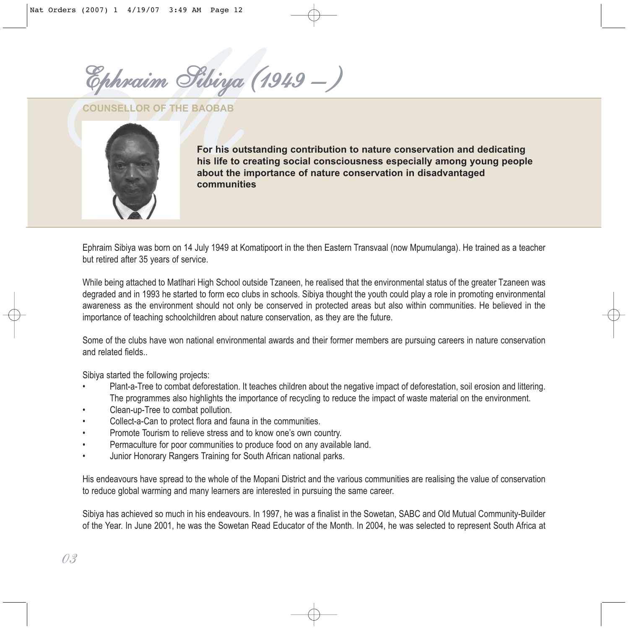*MEphraim Sibiya (1949 – )*

**COUNSELLOR OF THE BAOBAB**



**For his outstanding contribution to nature conservation and dedicating his life to creating social consciousness especially among young people about the importance of nature conservation in disadvantaged communities**

Ephraim Sibiya was born on 14 July 1949 at Komatipoort in the then Eastern Transvaal (now Mpumulanga). He trained as a teacher but retired after 35 years of service.

While being attached to Matlhari High School outside Tzaneen, he realised that the environmental status of the greater Tzaneen was degraded and in 1993 he started to form eco clubs in schools. Sibiya thought the youth could play a role in promoting environmental awareness as the environment should not only be conserved in protected areas but also within communities. He believed in the importance of teaching schoolchildren about nature conservation, as they are the future.

Some of the clubs have won national environmental awards and their former members are pursuing careers in nature conservation and related fields..

Sibiya started the following projects:

- Plant-a-Tree to combat deforestation. It teaches children about the negative impact of deforestation, soil erosion and littering. The programmes also highlights the importance of recycling to reduce the impact of waste material on the environment.
- Clean-up-Tree to combat pollution.
- Collect-a-Can to protect flora and fauna in the communities.
- Promote Tourism to relieve stress and to know one's own country.
- Permaculture for poor communities to produce food on any available land.
- Junior Honorary Rangers Training for South African national parks.

His endeavours have spread to the whole of the Mopani District and the various communities are realising the value of conservation to reduce global warming and many learners are interested in pursuing the same career.

Sibiya has achieved so much in his endeavours. In 1997, he was a finalist in the Sowetan, SABC and Old Mutual Community-Builder of the Year. In June 2001, he was the Sowetan Read Educator of the Month. In 2004, he was selected to represent South Africa at

*03*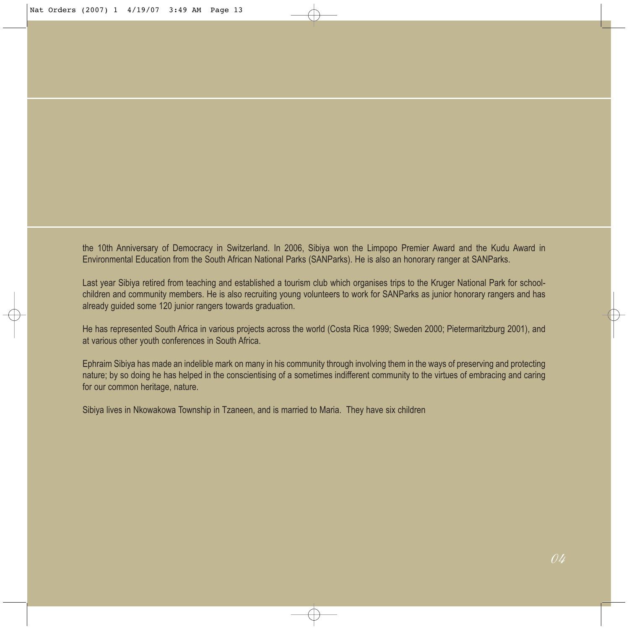the 10th Anniversary of Democracy in Switzerland. In 2006, Sibiya won the Limpopo Premier Award and the Kudu Award in Environmental Education from the South African National Parks (SANParks). He is also an honorary ranger at SANParks.

Last year Sibiya retired from teaching and established a tourism club which organises trips to the Kruger National Park for schoolchildren and community members. He is also recruiting young volunteers to work for SANParks as junior honorary rangers and has already guided some 120 junior rangers towards graduation.

He has represented South Africa in various projects across the world (Costa Rica 1999; Sweden 2000; Pietermaritzburg 2001), and at various other youth conferences in South Africa.

Ephraim Sibiya has made an indelible mark on many in his community through involving them in the ways of preserving and protecting nature; by so doing he has helped in the conscientising of a sometimes indifferent community to the virtues of embracing and caring for our common heritage, nature.

Sibiya lives in Nkowakowa Township in Tzaneen, and is married to Maria. They have six children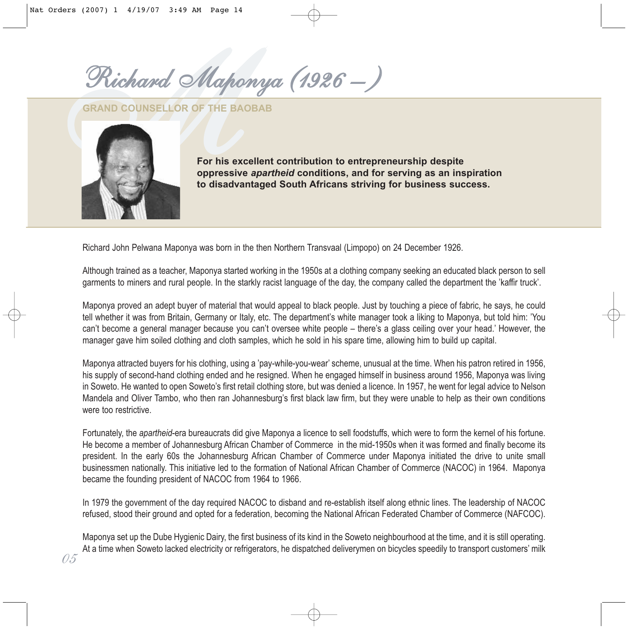*MRichard Maponya (1926 – )*

**GRAND COUNSELLOR OF THE BAOBAB** 



*05*

**For his excellent contribution to entrepreneurship despite oppressive** *apartheid* **conditions, and for serving as an inspiration to disadvantaged South Africans striving for business success.**

Richard John Pelwana Maponya was born in the then Northern Transvaal (Limpopo) on 24 December 1926.

Although trained as a teacher, Maponya started working in the 1950s at a clothing company seeking an educated black person to sell garments to miners and rural people. In the starkly racist language of the day, the company called the department the 'kaffir truck'.

Maponya proved an adept buyer of material that would appeal to black people. Just by touching a piece of fabric, he says, he could tell whether it was from Britain, Germany or Italy, etc. The department's white manager took a liking to Maponya, but told him: 'You can't become a general manager because you can't oversee white people – there's a glass ceiling over your head.' However, the manager gave him soiled clothing and cloth samples, which he sold in his spare time, allowing him to build up capital.

Maponya attracted buyers for his clothing, using a 'pay-while-you-wear' scheme, unusual at the time. When his patron retired in 1956, his supply of second-hand clothing ended and he resigned. When he engaged himself in business around 1956, Maponya was living in Soweto. He wanted to open Soweto's first retail clothing store, but was denied a licence. In 1957, he went for legal advice to Nelson Mandela and Oliver Tambo, who then ran Johannesburg's first black law firm, but they were unable to help as their own conditions were too restrictive.

Fortunately, the *apartheid*-era bureaucrats did give Maponya a licence to sell foodstuffs, which were to form the kernel of his fortune. He become a member of Johannesburg African Chamber of Commerce in the mid-1950s when it was formed and finally become its president. In the early 60s the Johannesburg African Chamber of Commerce under Maponya initiated the drive to unite small businessmen nationally. This initiative led to the formation of National African Chamber of Commerce (NACOC) in 1964. Maponya became the founding president of NACOC from 1964 to 1966.

In 1979 the government of the day required NACOC to disband and re-establish itself along ethnic lines. The leadership of NACOC refused, stood their ground and opted for a federation, becoming the National African Federated Chamber of Commerce (NAFCOC).

Maponya set up the Dube Hygienic Dairy, the first business of its kind in the Soweto neighbourhood at the time, and it is still operating. At a time when Soweto lacked electricity or refrigerators, he dispatched deliverymen on bicycles speedily to transport customers' milk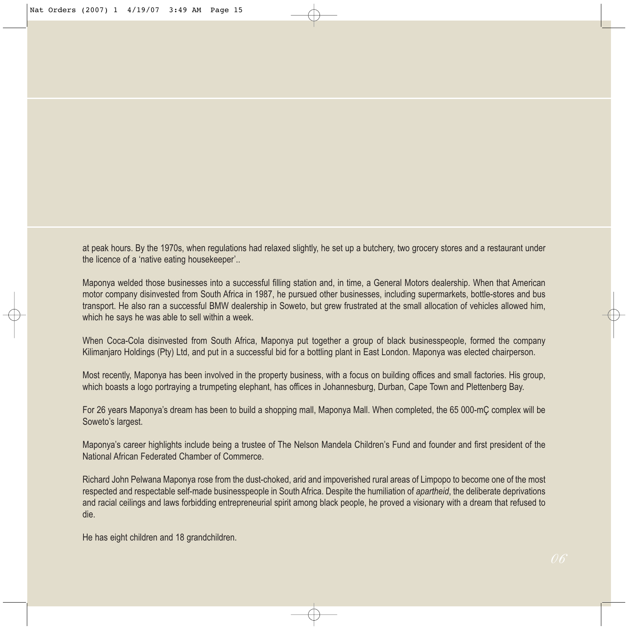at peak hours. By the 1970s, when regulations had relaxed slightly, he set up a butchery, two grocery stores and a restaurant under the licence of a 'native eating housekeeper'..

Maponya welded those businesses into a successful filling station and, in time, a General Motors dealership. When that American motor company disinvested from South Africa in 1987, he pursued other businesses, including supermarkets, bottle-stores and bus transport. He also ran a successful BMW dealership in Soweto, but grew frustrated at the small allocation of vehicles allowed him, which he says he was able to sell within a week.

When Coca-Cola disinvested from South Africa, Maponya put together a group of black businesspeople, formed the company Kilimanjaro Holdings (Pty) Ltd, and put in a successful bid for a bottling plant in East London. Maponya was elected chairperson.

Most recently, Maponya has been involved in the property business, with a focus on building offices and small factories. His group, which boasts a logo portraying a trumpeting elephant, has offices in Johannesburg, Durban, Cape Town and Plettenberg Bay.

For 26 years Maponya's dream has been to build a shopping mall, Maponya Mall. When completed, the 65 000-mÇ complex will be Soweto's largest.

Maponya's career highlights include being a trustee of The Nelson Mandela Children's Fund and founder and first president of the National African Federated Chamber of Commerce.

Richard John Pelwana Maponya rose from the dust-choked, arid and impoverished rural areas of Limpopo to become one of the most respected and respectable self-made businesspeople in South Africa. Despite the humiliation of *apartheid*, the deliberate deprivations and racial ceilings and laws forbidding entrepreneurial spirit among black people, he proved a visionary with a dream that refused to die.

He has eight children and 18 grandchildren.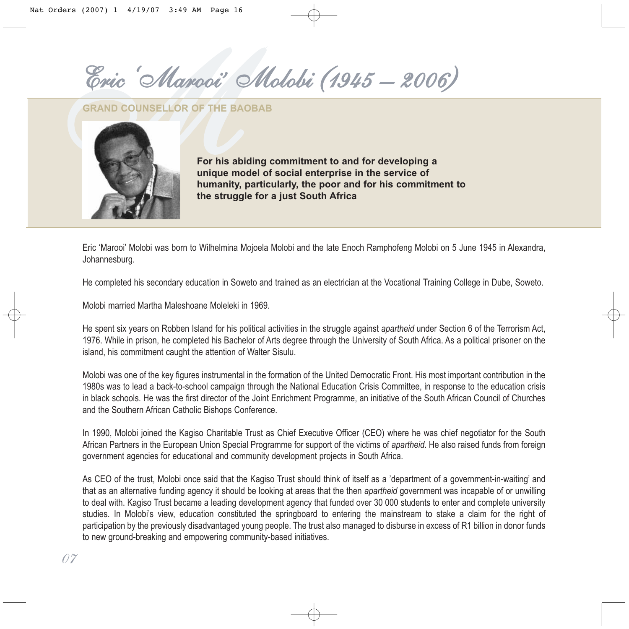*MEric 'Marooi' Molobi (1945 – 2006)*

**GRAND COUNSELLOR OF THE BAOBAB**



**For his abiding commitment to and for developing a unique model of social enterprise in the service of humanity, particularly, the poor and for his commitment to the struggle for a just South Africa**

Eric 'Marooi' Molobi was born to Wilhelmina Mojoela Molobi and the late Enoch Ramphofeng Molobi on 5 June 1945 in Alexandra, Johannesburg.

He completed his secondary education in Soweto and trained as an electrician at the Vocational Training College in Dube, Soweto.

Molobi married Martha Maleshoane Moleleki in 1969.

He spent six years on Robben Island for his political activities in the struggle against *apartheid* under Section 6 of the Terrorism Act, 1976. While in prison, he completed his Bachelor of Arts degree through the University of South Africa. As a political prisoner on the island, his commitment caught the attention of Walter Sisulu.

Molobi was one of the key figures instrumental in the formation of the United Democratic Front. His most important contribution in the 1980s was to lead a back-to-school campaign through the National Education Crisis Committee, in response to the education crisis in black schools. He was the first director of the Joint Enrichment Programme, an initiative of the South African Council of Churches and the Southern African Catholic Bishops Conference.

In 1990, Molobi joined the Kagiso Charitable Trust as Chief Executive Officer (CEO) where he was chief negotiator for the South African Partners in the European Union Special Programme for support of the victims of *apartheid*. He also raised funds from foreign government agencies for educational and community development projects in South Africa.

As CEO of the trust, Molobi once said that the Kagiso Trust should think of itself as a 'department of a government-in-waiting' and that as an alternative funding agency it should be looking at areas that the then *apartheid* government was incapable of or unwilling to deal with. Kagiso Trust became a leading development agency that funded over 30 000 students to enter and complete university studies. In Molobi's view, education constituted the springboard to entering the mainstream to stake a claim for the right of participation by the previously disadvantaged young people. The trust also managed to disburse in excess of R1 billion in donor funds to new ground-breaking and empowering community-based initiatives.

*07*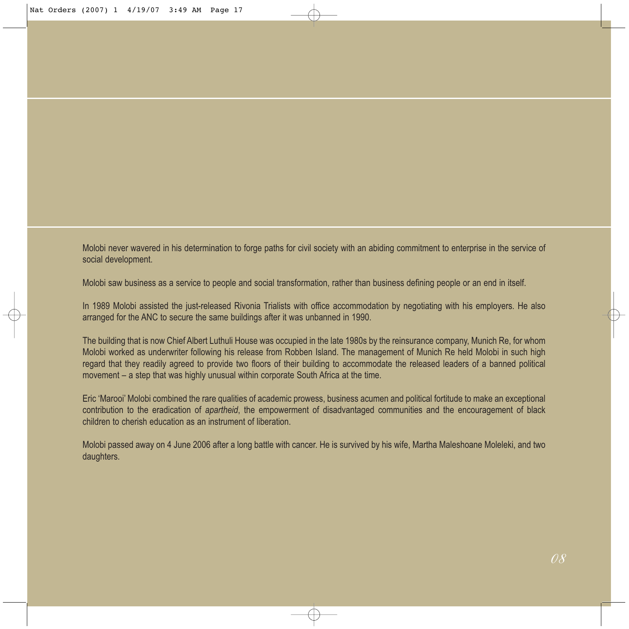Molobi never wavered in his determination to forge paths for civil society with an abiding commitment to enterprise in the service of social development.

Molobi saw business as a service to people and social transformation, rather than business defining people or an end in itself.

In 1989 Molobi assisted the just-released Rivonia Trialists with office accommodation by negotiating with his employers. He also arranged for the ANC to secure the same buildings after it was unbanned in 1990.

The building that is now Chief Albert Luthuli House was occupied in the late 1980s by the reinsurance company, Munich Re, for whom Molobi worked as underwriter following his release from Robben Island. The management of Munich Re held Molobi in such high regard that they readily agreed to provide two floors of their building to accommodate the released leaders of a banned political movement – a step that was highly unusual within corporate South Africa at the time.

Eric 'Marooi' Molobi combined the rare qualities of academic prowess, business acumen and political fortitude to make an exceptional contribution to the eradication of *apartheid*, the empowerment of disadvantaged communities and the encouragement of black children to cherish education as an instrument of liberation.

Molobi passed away on 4 June 2006 after a long battle with cancer. He is survived by his wife, Martha Maleshoane Moleleki, and two daughters.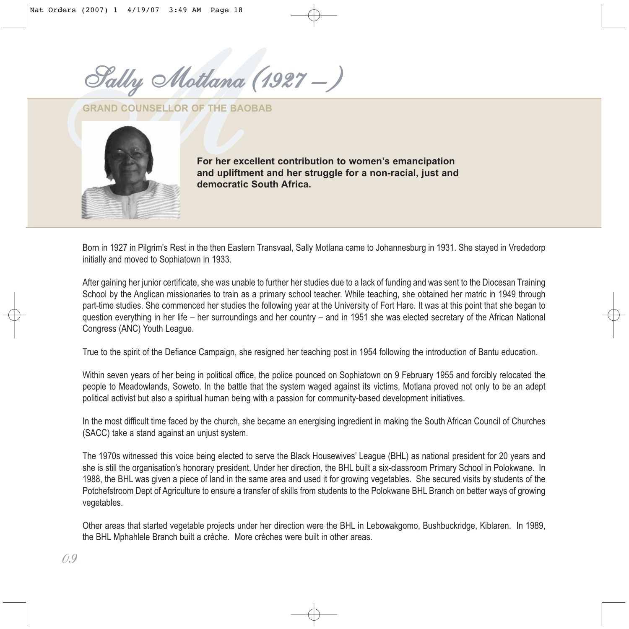*MSally Motlana (1927 – )* 

**GRAND COUNSELLOR OF THE BAOBAB**



**For her excellent contribution to women's emancipation and upliftment and her struggle for a non-racial, just and democratic South Africa.**

Born in 1927 in Pilgrim's Rest in the then Eastern Transvaal, Sally Motlana came to Johannesburg in 1931. She stayed in Vrededorp initially and moved to Sophiatown in 1933.

After gaining her junior certificate, she was unable to further her studies due to a lack of funding and was sent to the Diocesan Training School by the Anglican missionaries to train as a primary school teacher. While teaching, she obtained her matric in 1949 through part-time studies. She commenced her studies the following year at the University of Fort Hare. It was at this point that she began to question everything in her life – her surroundings and her country – and in 1951 she was elected secretary of the African National Congress (ANC) Youth League.

True to the spirit of the Defiance Campaign, she resigned her teaching post in 1954 following the introduction of Bantu education.

Within seven years of her being in political office, the police pounced on Sophiatown on 9 February 1955 and forcibly relocated the people to Meadowlands, Soweto. In the battle that the system waged against its victims, Motlana proved not only to be an adept political activist but also a spiritual human being with a passion for community-based development initiatives.

In the most difficult time faced by the church, she became an energising ingredient in making the South African Council of Churches (SACC) take a stand against an unjust system.

The 1970s witnessed this voice being elected to serve the Black Housewives' League (BHL) as national president for 20 years and she is still the organisation's honorary president. Under her direction, the BHL built a six-classroom Primary School in Polokwane. In 1988, the BHL was given a piece of land in the same area and used it for growing vegetables. She secured visits by students of the Potchefstroom Dept of Agriculture to ensure a transfer of skills from students to the Polokwane BHL Branch on better ways of growing vegetables.

Other areas that started vegetable projects under her direction were the BHL in Lebowakgomo, Bushbuckridge, Kiblaren. In 1989, the BHL Mphahlele Branch built a crèche. More crèches were built in other areas.

*09*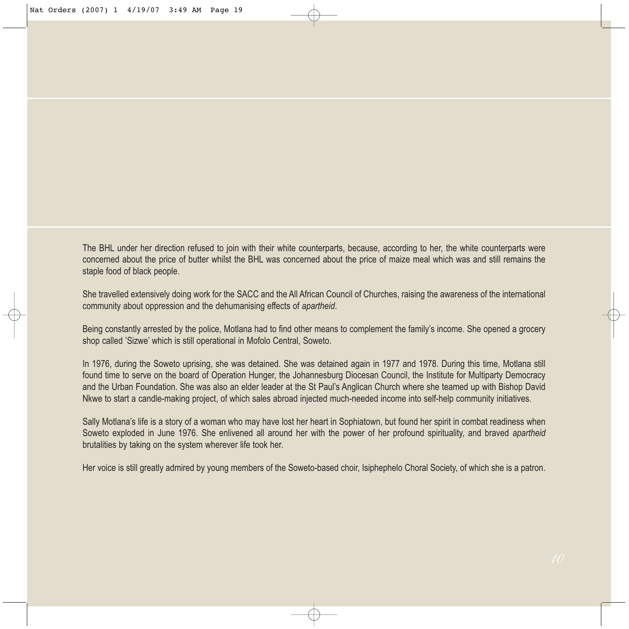The BHL under her direction refused to join with their white counterparts, because, according to her, the white counterparts were concerned about the price of butter whilst the BHL was concerned about the price of maize meal which was and still remains the staple food of black people.

She travelled extensively doing work for the SACC and the All African Council of Churches, raising the awareness of the international community about oppression and the dehumanising effects of *apartheid*.

Being constantly arrested by the police, Motlana had to find other means to complement the family's income. She opened a grocery shop called 'Sizwe' which is still operational in Mofolo Central, Soweto.

In 1976, during the Soweto uprising, she was detained. She was detained again in 1977 and 1978. During this time, Motlana still found time to serve on the board of Operation Hunger, the Johannesburg Diocesan Council, the Institute for Multiparty Democracy and the Urban Foundation. She was also an elder leader at the St Paul's Anglican Church where she teamed up with Bishop David Nkwe to start a candle-making project, of which sales abroad injected much-needed income into self-help community initiatives.

Sally Motlana's life is a story of a woman who may have lost her heart in Sophiatown, but found her spirit in combat readiness when Soweto exploded in June 1976. She enlivened all around her with the power of her profound spirituality, and braved *apartheid* brutalities by taking on the system wherever life took her.

Her voice is still greatly admired by young members of the Soweto-based choir, Isiphephelo Choral Society, of which she is a patron.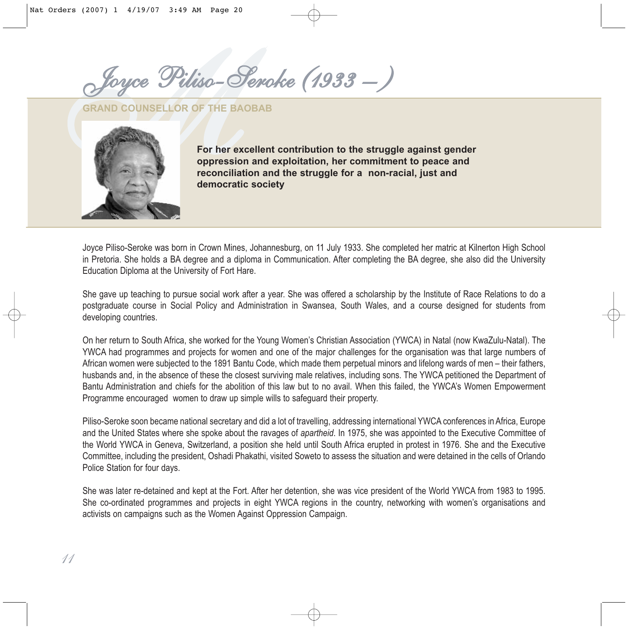*MJoyce Piliso-Seroke (1933 – )*

**GRAND COUNSELLOR OF THE BAOBAB** 



**For her excellent contribution to the struggle against gender oppression and exploitation, her commitment to peace and reconciliation and the struggle for a non-racial, just and democratic society** 

Joyce Piliso-Seroke was born in Crown Mines, Johannesburg, on 11 July 1933. She completed her matric at Kilnerton High School in Pretoria. She holds a BA degree and a diploma in Communication. After completing the BA degree, she also did the University Education Diploma at the University of Fort Hare.

She gave up teaching to pursue social work after a year. She was offered a scholarship by the Institute of Race Relations to do a postgraduate course in Social Policy and Administration in Swansea, South Wales, and a course designed for students from developing countries.

On her return to South Africa, she worked for the Young Women's Christian Association (YWCA) in Natal (now KwaZulu-Natal). The YWCA had programmes and projects for women and one of the major challenges for the organisation was that large numbers of African women were subjected to the 1891 Bantu Code, which made them perpetual minors and lifelong wards of men – their fathers, husbands and, in the absence of these the closest surviving male relatives, including sons. The YWCA petitioned the Department of Bantu Administration and chiefs for the abolition of this law but to no avail. When this failed, the YWCA's Women Empowerment Programme encouraged women to draw up simple wills to safeguard their property.

Piliso-Seroke soon became national secretary and did a lot of travelling, addressing international YWCA conferences in Africa, Europe and the United States where she spoke about the ravages of *apartheid*. In 1975, she was appointed to the Executive Committee of the World YWCA in Geneva, Switzerland, a position she held until South Africa erupted in protest in 1976. She and the Executive Committee, including the president, Oshadi Phakathi, visited Soweto to assess the situation and were detained in the cells of Orlando Police Station for four days.

She was later re-detained and kept at the Fort. After her detention, she was vice president of the World YWCA from 1983 to 1995. She co-ordinated programmes and projects in eight YWCA regions in the country, networking with women's organisations and activists on campaigns such as the Women Against Oppression Campaign.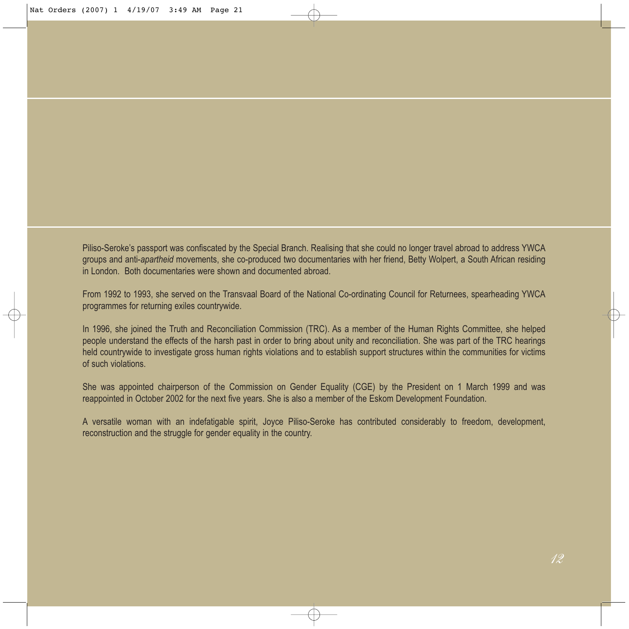Piliso-Seroke's passport was confiscated by the Special Branch. Realising that she could no longer travel abroad to address YWCA groups and anti-*apartheid* movements, she co-produced two documentaries with her friend, Betty Wolpert, a South African residing in London. Both documentaries were shown and documented abroad.

From 1992 to 1993, she served on the Transvaal Board of the National Co-ordinating Council for Returnees, spearheading YWCA programmes for returning exiles countrywide.

In 1996, she joined the Truth and Reconciliation Commission (TRC). As a member of the Human Rights Committee, she helped people understand the effects of the harsh past in order to bring about unity and reconciliation. She was part of the TRC hearings held countrywide to investigate gross human rights violations and to establish support structures within the communities for victims of such violations.

She was appointed chairperson of the Commission on Gender Equality (CGE) by the President on 1 March 1999 and was reappointed in October 2002 for the next five years. She is also a member of the Eskom Development Foundation.

A versatile woman with an indefatigable spirit, Joyce Piliso-Seroke has contributed considerably to freedom, development, reconstruction and the struggle for gender equality in the country.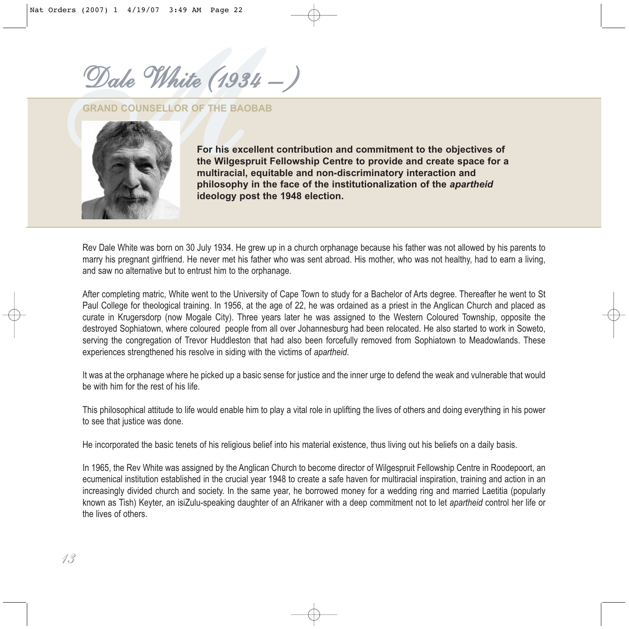*MDale White (1934 – )*

#### **GRAND COUNSELLOR OF THE BAOBAB**



**For his excellent contribution and commitment to the objectives of the Wilgespruit Fellowship Centre to provide and create space for a multiracial, equitable and non-discriminatory interaction and philosophy in the face of the institutionalization of the** *apartheid* **ideology post the 1948 election.**

Rev Dale White was born on 30 July 1934. He grew up in a church orphanage because his father was not allowed by his parents to marry his pregnant girlfriend. He never met his father who was sent abroad. His mother, who was not healthy, had to earn a living, and saw no alternative but to entrust him to the orphanage.

After completing matric, White went to the University of Cape Town to study for a Bachelor of Arts degree. Thereafter he went to St Paul College for theological training. In 1956, at the age of 22, he was ordained as a priest in the Anglican Church and placed as curate in Krugersdorp (now Mogale City). Three years later he was assigned to the Western Coloured Township, opposite the destroyed Sophiatown, where coloured people from all over Johannesburg had been relocated. He also started to work in Soweto, serving the congregation of Trevor Huddleston that had also been forcefully removed from Sophiatown to Meadowlands. These experiences strengthened his resolve in siding with the victims of *apartheid*.

It was at the orphanage where he picked up a basic sense for justice and the inner urge to defend the weak and vulnerable that would be with him for the rest of his life.

This philosophical attitude to life would enable him to play a vital role in uplifting the lives of others and doing everything in his power to see that justice was done.

He incorporated the basic tenets of his religious belief into his material existence, thus living out his beliefs on a daily basis.

In 1965, the Rev White was assigned by the Anglican Church to become director of Wilgespruit Fellowship Centre in Roodepoort, an ecumenical institution established in the crucial year 1948 to create a safe haven for multiracial inspiration, training and action in an increasingly divided church and society. In the same year, he borrowed money for a wedding ring and married Laetitia (popularly known as Tish) Keyter, an isiZulu-speaking daughter of an Afrikaner with a deep commitment not to let *apartheid* control her life or the lives of others.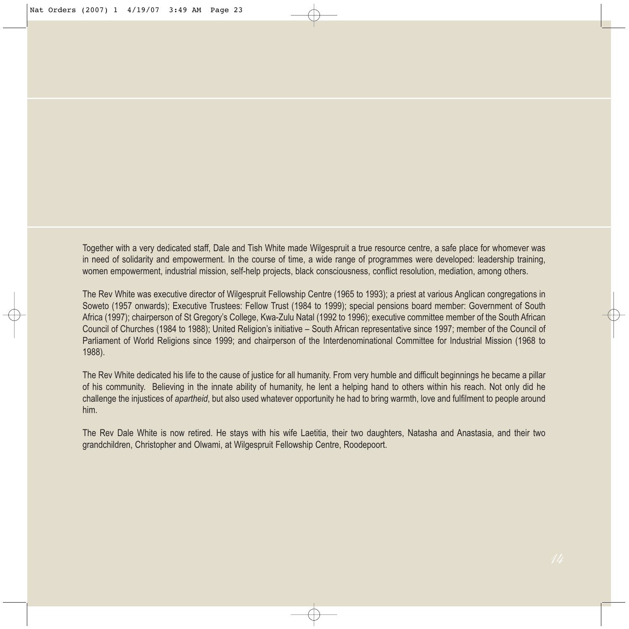Together with a very dedicated staff, Dale and Tish White made Wilgespruit a true resource centre, a safe place for whomever was in need of solidarity and empowerment. In the course of time, a wide range of programmes were developed: leadership training, women empowerment, industrial mission, self-help projects, black consciousness, conflict resolution, mediation, among others.

The Rev White was executive director of Wilgespruit Fellowship Centre (1965 to 1993); a priest at various Anglican congregations in Soweto (1957 onwards); Executive Trustees: Fellow Trust (1984 to 1999); special pensions board member: Government of South Africa (1997); chairperson of St Gregory's College, Kwa-Zulu Natal (1992 to 1996); executive committee member of the South African Council of Churches (1984 to 1988); United Religion's initiative – South African representative since 1997; member of the Council of Parliament of World Religions since 1999; and chairperson of the Interdenominational Committee for Industrial Mission (1968 to 1988).

The Rev White dedicated his life to the cause of justice for all humanity. From very humble and difficult beginnings he became a pillar of his community. Believing in the innate ability of humanity, he lent a helping hand to others within his reach. Not only did he challenge the injustices of *apartheid*, but also used whatever opportunity he had to bring warmth, love and fulfilment to people around him.

The Rev Dale White is now retired. He stays with his wife Laetitia, their two daughters, Natasha and Anastasia, and their two grandchildren, Christopher and Olwami, at Wilgespruit Fellowship Centre, Roodepoort.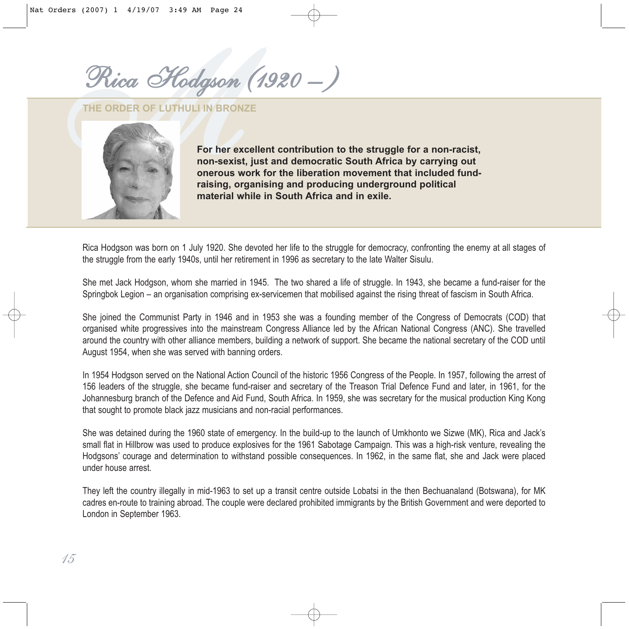*MRica Hodgson (1920 – )*

**THE ORDER OF LUTHULI IN BRONZE**



**For her excellent contribution to the struggle for a non-racist, non-sexist, just and democratic South Africa by carrying out onerous work for the liberation movement that included fundraising, organising and producing underground political material while in South Africa and in exile.**

Rica Hodgson was born on 1 July 1920. She devoted her life to the struggle for democracy, confronting the enemy at all stages of the struggle from the early 1940s, until her retirement in 1996 as secretary to the late Walter Sisulu.

She met Jack Hodgson, whom she married in 1945. The two shared a life of struggle. In 1943, she became a fund-raiser for the Springbok Legion – an organisation comprising ex-servicemen that mobilised against the rising threat of fascism in South Africa.

She joined the Communist Party in 1946 and in 1953 she was a founding member of the Congress of Democrats (COD) that organised white progressives into the mainstream Congress Alliance led by the African National Congress (ANC). She travelled around the country with other alliance members, building a network of support. She became the national secretary of the COD until August 1954, when she was served with banning orders.

In 1954 Hodgson served on the National Action Council of the historic 1956 Congress of the People. In 1957, following the arrest of 156 leaders of the struggle, she became fund-raiser and secretary of the Treason Trial Defence Fund and later, in 1961, for the Johannesburg branch of the Defence and Aid Fund, South Africa. In 1959, she was secretary for the musical production King Kong that sought to promote black jazz musicians and non-racial performances.

She was detained during the 1960 state of emergency. In the build-up to the launch of Umkhonto we Sizwe (MK), Rica and Jack's small flat in Hillbrow was used to produce explosives for the 1961 Sabotage Campaign. This was a high-risk venture, revealing the Hodgsons' courage and determination to withstand possible consequences. In 1962, in the same flat, she and Jack were placed under house arrest.

They left the country illegally in mid-1963 to set up a transit centre outside Lobatsi in the then Bechuanaland (Botswana), for MK cadres en-route to training abroad. The couple were declared prohibited immigrants by the British Government and were deported to London in September 1963.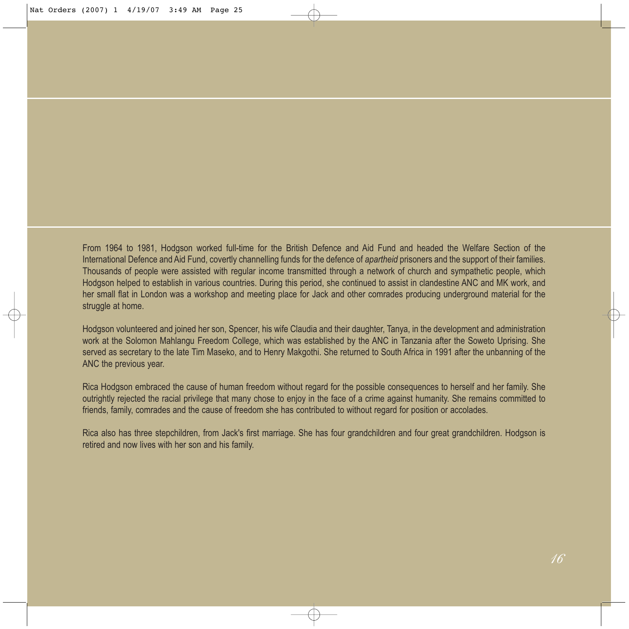From 1964 to 1981, Hodgson worked full-time for the British Defence and Aid Fund and headed the Welfare Section of the International Defence and Aid Fund, covertly channelling funds for the defence of *apartheid* prisoners and the support of their families. Thousands of people were assisted with regular income transmitted through a network of church and sympathetic people, which Hodgson helped to establish in various countries. During this period, she continued to assist in clandestine ANC and MK work, and her small flat in London was a workshop and meeting place for Jack and other comrades producing underground material for the struggle at home.

Hodgson volunteered and joined her son, Spencer, his wife Claudia and their daughter, Tanya, in the development and administration work at the Solomon Mahlangu Freedom College, which was established by the ANC in Tanzania after the Soweto Uprising. She served as secretary to the late Tim Maseko, and to Henry Makgothi. She returned to South Africa in 1991 after the unbanning of the ANC the previous year.

Rica Hodgson embraced the cause of human freedom without regard for the possible consequences to herself and her family. She outrightly rejected the racial privilege that many chose to enjoy in the face of a crime against humanity. She remains committed to friends, family, comrades and the cause of freedom she has contributed to without regard for position or accolades.

Rica also has three stepchildren, from Jack's first marriage. She has four grandchildren and four great grandchildren. Hodgson is retired and now lives with her son and his family.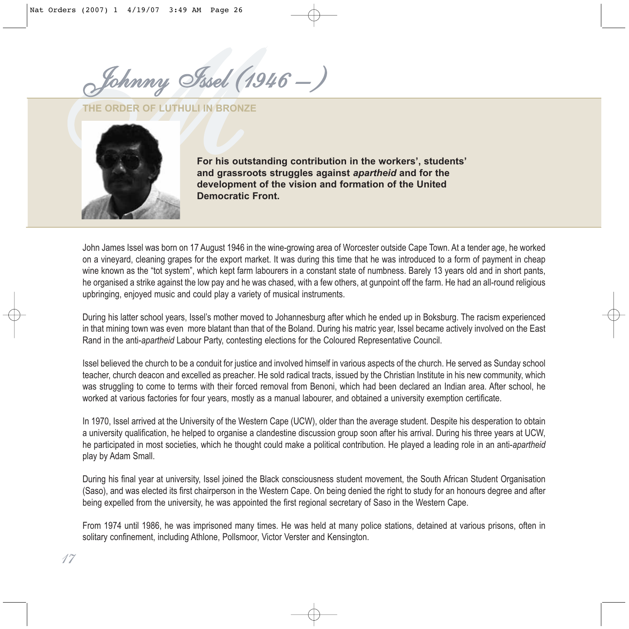*MJohnny Issel (1946 – )*

**THE ORDER OF LUTHULI IN BRONZE**



*17*

**For his outstanding contribution in the workers', students' and grassroots struggles against** *apartheid* **and for the development of the vision and formation of the United Democratic Front.** 

John James Issel was born on 17 August 1946 in the wine-growing area of Worcester outside Cape Town. At a tender age, he worked on a vineyard, cleaning grapes for the export market. It was during this time that he was introduced to a form of payment in cheap wine known as the "tot system", which kept farm labourers in a constant state of numbness. Barely 13 years old and in short pants, he organised a strike against the low pay and he was chased, with a few others, at gunpoint off the farm. He had an all-round religious upbringing, enjoyed music and could play a variety of musical instruments.

During his latter school years, Issel's mother moved to Johannesburg after which he ended up in Boksburg. The racism experienced in that mining town was even more blatant than that of the Boland. During his matric year, Issel became actively involved on the East Rand in the anti-*apartheid* Labour Party, contesting elections for the Coloured Representative Council.

Issel believed the church to be a conduit for justice and involved himself in various aspects of the church. He served as Sunday school teacher, church deacon and excelled as preacher. He sold radical tracts, issued by the Christian Institute in his new community, which was struggling to come to terms with their forced removal from Benoni, which had been declared an Indian area. After school, he worked at various factories for four years, mostly as a manual labourer, and obtained a university exemption certificate.

In 1970, Issel arrived at the University of the Western Cape (UCW), older than the average student. Despite his desperation to obtain a university qualification, he helped to organise a clandestine discussion group soon after his arrival. During his three years at UCW, he participated in most societies, which he thought could make a political contribution. He played a leading role in an anti-*apartheid* play by Adam Small.

During his final year at university, Issel joined the Black consciousness student movement, the South African Student Organisation (Saso), and was elected its first chairperson in the Western Cape. On being denied the right to study for an honours degree and after being expelled from the university, he was appointed the first regional secretary of Saso in the Western Cape.

From 1974 until 1986, he was imprisoned many times. He was held at many police stations, detained at various prisons, often in solitary confinement, including Athlone, Pollsmoor, Victor Verster and Kensington.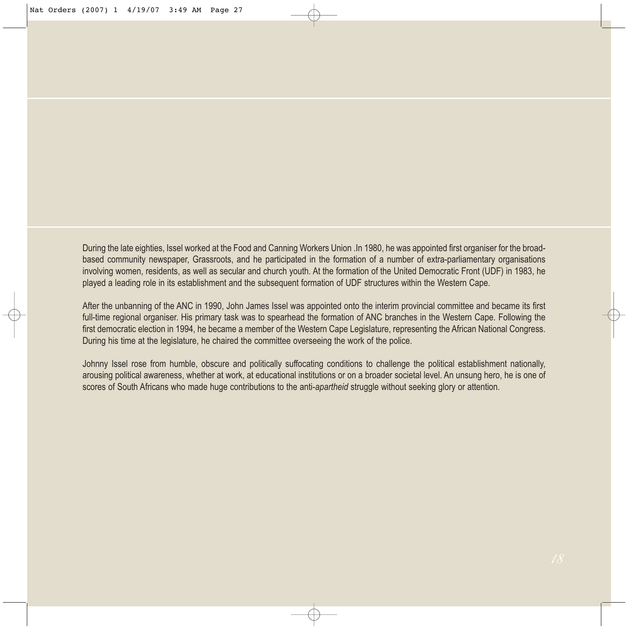During the late eighties, Issel worked at the Food and Canning Workers Union .In 1980, he was appointed first organiser for the broadbased community newspaper, Grassroots, and he participated in the formation of a number of extra-parliamentary organisations involving women, residents, as well as secular and church youth. At the formation of the United Democratic Front (UDF) in 1983, he played a leading role in its establishment and the subsequent formation of UDF structures within the Western Cape.

After the unbanning of the ANC in 1990, John James Issel was appointed onto the interim provincial committee and became its first full-time regional organiser. His primary task was to spearhead the formation of ANC branches in the Western Cape. Following the first democratic election in 1994, he became a member of the Western Cape Legislature, representing the African National Congress. During his time at the legislature, he chaired the committee overseeing the work of the police.

Johnny Issel rose from humble, obscure and politically suffocating conditions to challenge the political establishment nationally, arousing political awareness, whether at work, at educational institutions or on a broader societal level. An unsung hero, he is one of scores of South Africans who made huge contributions to the anti-*apartheid* struggle without seeking glory or attention.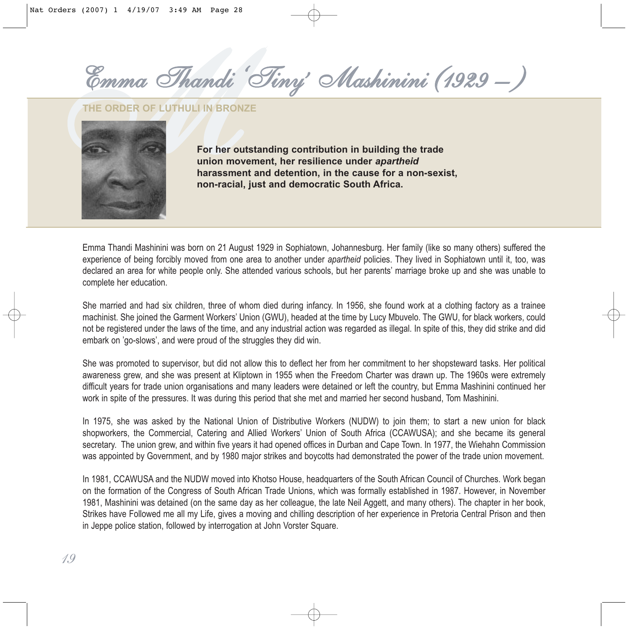*' Mashinini (1929 – )*

**THE ORDER OF LUTHULI IN BRONZE**



**For her outstanding contribution in building the trade union movement, her resilience under** *apartheid* **harassment and detention, in the cause for a non-sexist, non-racial, just and democratic South Africa.**

Emma Thandi Mashinini was born on 21 August 1929 in Sophiatown, Johannesburg. Her family (like so many others) suffered the experience of being forcibly moved from one area to another under *apartheid* policies. They lived in Sophiatown until it, too, was declared an area for white people only. She attended various schools, but her parents' marriage broke up and she was unable to complete her education.

She married and had six children, three of whom died during infancy. In 1956, she found work at a clothing factory as a trainee machinist. She joined the Garment Workers' Union (GWU), headed at the time by Lucy Mbuvelo. The GWU, for black workers, could not be registered under the laws of the time, and any industrial action was regarded as illegal. In spite of this, they did strike and did embark on 'go-slows', and were proud of the struggles they did win.

She was promoted to supervisor, but did not allow this to deflect her from her commitment to her shopsteward tasks. Her political awareness grew, and she was present at Kliptown in 1955 when the Freedom Charter was drawn up. The 1960s were extremely difficult years for trade union organisations and many leaders were detained or left the country, but Emma Mashinini continued her work in spite of the pressures. It was during this period that she met and married her second husband, Tom Mashinini.

In 1975, she was asked by the National Union of Distributive Workers (NUDW) to join them; to start a new union for black shopworkers, the Commercial, Catering and Allied Workers' Union of South Africa (CCAWUSA); and she became its general secretary. The union grew, and within five years it had opened offices in Durban and Cape Town. In 1977, the Wiehahn Commission was appointed by Government, and by 1980 major strikes and boycotts had demonstrated the power of the trade union movement.

In 1981, CCAWUSA and the NUDW moved into Khotso House, headquarters of the South African Council of Churches. Work began on the formation of the Congress of South African Trade Unions, which was formally established in 1987. However, in November 1981, Mashinini was detained (on the same day as her colleague, the late Neil Aggett, and many others). The chapter in her book, Strikes have Followed me all my Life, gives a moving and chilling description of her experience in Pretoria Central Prison and then in Jeppe police station, followed by interrogation at John Vorster Square.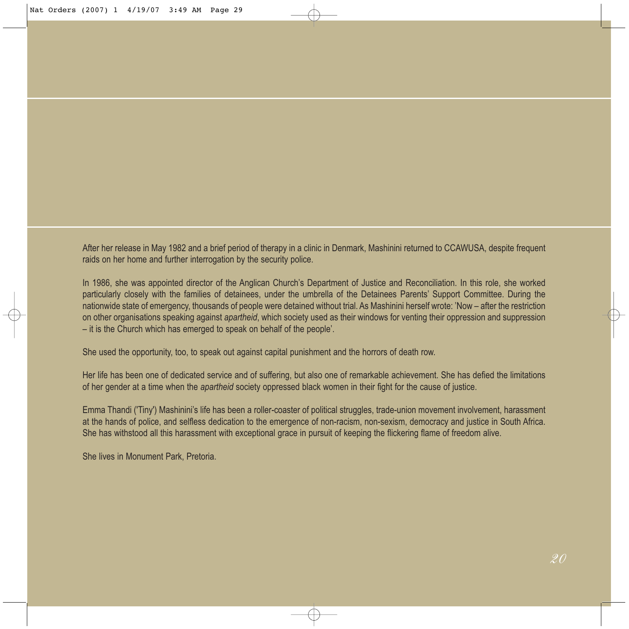After her release in May 1982 and a brief period of therapy in a clinic in Denmark, Mashinini returned to CCAWUSA, despite frequent raids on her home and further interrogation by the security police.

In 1986, she was appointed director of the Anglican Church's Department of Justice and Reconciliation. In this role, she worked particularly closely with the families of detainees, under the umbrella of the Detainees Parents' Support Committee. During the nationwide state of emergency, thousands of people were detained without trial. As Mashinini herself wrote: 'Now – after the restriction on other organisations speaking against *apartheid*, which society used as their windows for venting their oppression and suppression – it is the Church which has emerged to speak on behalf of the people'.

She used the opportunity, too, to speak out against capital punishment and the horrors of death row.

Her life has been one of dedicated service and of suffering, but also one of remarkable achievement. She has defied the limitations of her gender at a time when the *apartheid* society oppressed black women in their fight for the cause of justice.

Emma Thandi ('Tiny') Mashinini's life has been a roller-coaster of political struggles, trade-union movement involvement, harassment at the hands of police, and selfless dedication to the emergence of non-racism, non-sexism, democracy and justice in South Africa. She has withstood all this harassment with exceptional grace in pursuit of keeping the flickering flame of freedom alive.

She lives in Monument Park, Pretoria.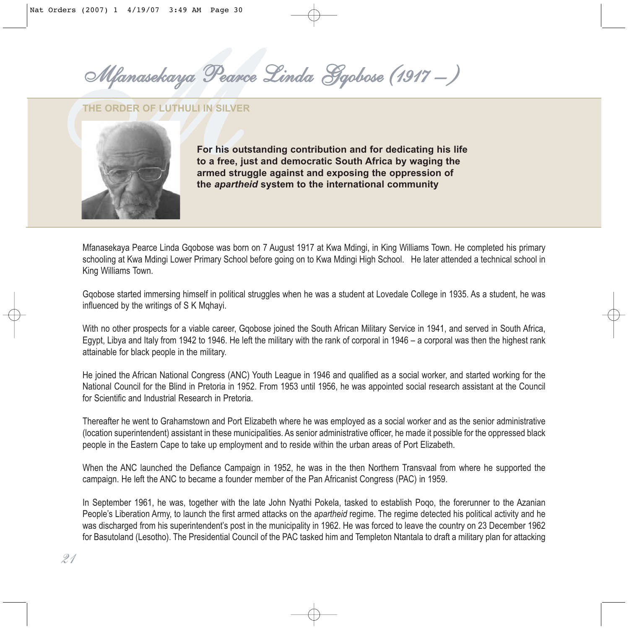*MMfanasekaya Pearce Linda Gqobose (1917 – )*

#### **THE ORDER OF LUTHULI IN SILVER**



**For his outstanding contribution and for dedicating his life to a free, just and democratic South Africa by waging the armed struggle against and exposing the oppression of the** *apartheid* **system to the international community**

Mfanasekaya Pearce Linda Gqobose was born on 7 August 1917 at Kwa Mdingi, in King Williams Town. He completed his primary schooling at Kwa Mdingi Lower Primary School before going on to Kwa Mdingi High School. He later attended a technical school in King Williams Town.

Gqobose started immersing himself in political struggles when he was a student at Lovedale College in 1935. As a student, he was influenced by the writings of S K Mqhayi.

With no other prospects for a viable career, Gqobose joined the South African Military Service in 1941, and served in South Africa, Egypt, Libya and Italy from 1942 to 1946. He left the military with the rank of corporal in 1946 – a corporal was then the highest rank attainable for black people in the military.

He joined the African National Congress (ANC) Youth League in 1946 and qualified as a social worker, and started working for the National Council for the Blind in Pretoria in 1952. From 1953 until 1956, he was appointed social research assistant at the Council for Scientific and Industrial Research in Pretoria.

Thereafter he went to Grahamstown and Port Elizabeth where he was employed as a social worker and as the senior administrative (location superintendent) assistant in these municipalities. As senior administrative officer, he made it possible for the oppressed black people in the Eastern Cape to take up employment and to reside within the urban areas of Port Elizabeth.

When the ANC launched the Defiance Campaign in 1952, he was in the then Northern Transvaal from where he supported the campaign. He left the ANC to became a founder member of the Pan Africanist Congress (PAC) in 1959.

In September 1961, he was, together with the late John Nyathi Pokela, tasked to establish Poqo, the forerunner to the Azanian People's Liberation Army, to launch the first armed attacks on the *apartheid* regime. The regime detected his political activity and he was discharged from his superintendent's post in the municipality in 1962. He was forced to leave the country on 23 December 1962 for Basutoland (Lesotho). The Presidential Council of the PAC tasked him and Templeton Ntantala to draft a military plan for attacking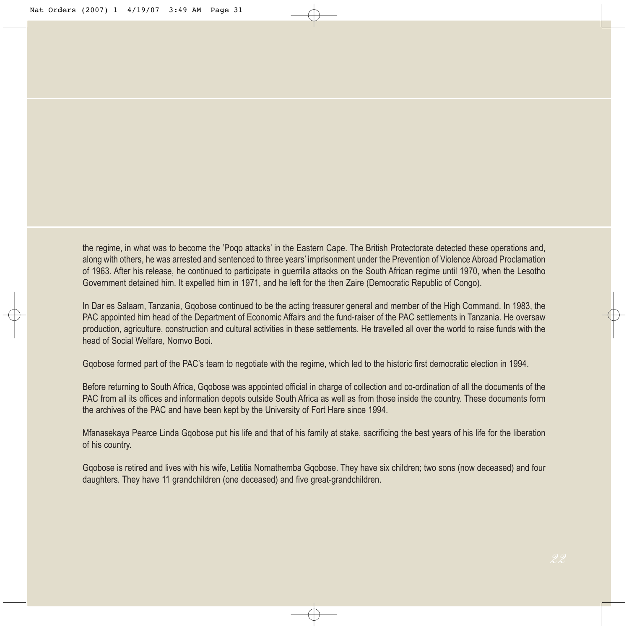the regime, in what was to become the 'Poqo attacks' in the Eastern Cape. The British Protectorate detected these operations and, along with others, he was arrested and sentenced to three years' imprisonment under the Prevention of Violence Abroad Proclamation of 1963. After his release, he continued to participate in guerrilla attacks on the South African regime until 1970, when the Lesotho Government detained him. It expelled him in 1971, and he left for the then Zaire (Democratic Republic of Congo).

In Dar es Salaam, Tanzania, Gqobose continued to be the acting treasurer general and member of the High Command. In 1983, the PAC appointed him head of the Department of Economic Affairs and the fund-raiser of the PAC settlements in Tanzania. He oversaw production, agriculture, construction and cultural activities in these settlements. He travelled all over the world to raise funds with the head of Social Welfare, Nomvo Booi.

Gqobose formed part of the PAC's team to negotiate with the regime, which led to the historic first democratic election in 1994.

Before returning to South Africa, Gqobose was appointed official in charge of collection and co-ordination of all the documents of the PAC from all its offices and information depots outside South Africa as well as from those inside the country. These documents form the archives of the PAC and have been kept by the University of Fort Hare since 1994.

Mfanasekaya Pearce Linda Gqobose put his life and that of his family at stake, sacrificing the best years of his life for the liberation of his country.

Gqobose is retired and lives with his wife, Letitia Nomathemba Gqobose. They have six children; two sons (now deceased) and four daughters. They have 11 grandchildren (one deceased) and five great-grandchildren.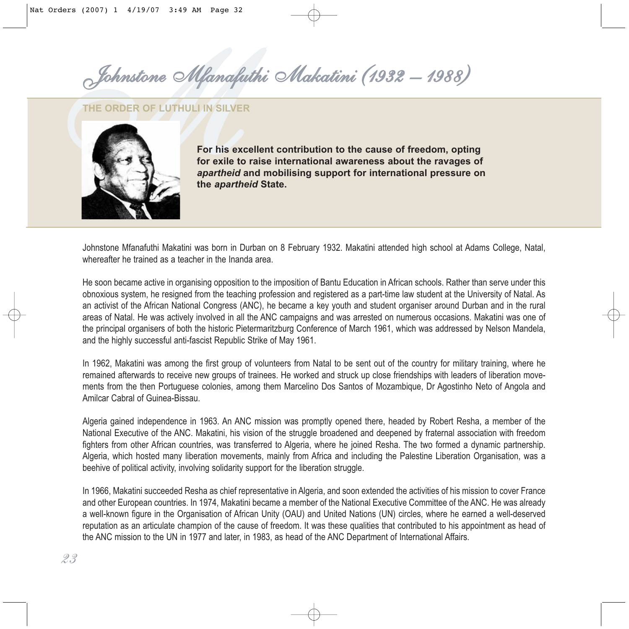*MJohnstone Mfanafuthi Makatini (1932 – 1988)*

#### **THE ORDER OF LUTHULI IN SILVER**



**For his excellent contribution to the cause of freedom, opting for exile to raise international awareness about the ravages of** *apartheid* **and mobilising support for international pressure on the** *apartheid* **State.**

Johnstone Mfanafuthi Makatini was born in Durban on 8 February 1932. Makatini attended high school at Adams College, Natal, whereafter he trained as a teacher in the Inanda area.

He soon became active in organising opposition to the imposition of Bantu Education in African schools. Rather than serve under this obnoxious system, he resigned from the teaching profession and registered as a part-time law student at the University of Natal. As an activist of the African National Congress (ANC), he became a key youth and student organiser around Durban and in the rural areas of Natal. He was actively involved in all the ANC campaigns and was arrested on numerous occasions. Makatini was one of the principal organisers of both the historic Pietermaritzburg Conference of March 1961, which was addressed by Nelson Mandela, and the highly successful anti-fascist Republic Strike of May 1961.

In 1962, Makatini was among the first group of volunteers from Natal to be sent out of the country for military training, where he remained afterwards to receive new groups of trainees. He worked and struck up close friendships with leaders of liberation movements from the then Portuguese colonies, among them Marcelino Dos Santos of Mozambique, Dr Agostinho Neto of Angola and Amilcar Cabral of Guinea-Bissau.

Algeria gained independence in 1963. An ANC mission was promptly opened there, headed by Robert Resha, a member of the National Executive of the ANC. Makatini, his vision of the struggle broadened and deepened by fraternal association with freedom fighters from other African countries, was transferred to Algeria, where he joined Resha. The two formed a dynamic partnership. Algeria, which hosted many liberation movements, mainly from Africa and including the Palestine Liberation Organisation, was a beehive of political activity, involving solidarity support for the liberation struggle.

In 1966, Makatini succeeded Resha as chief representative in Algeria, and soon extended the activities of his mission to cover France and other European countries. In 1974, Makatini became a member of the National Executive Committee of the ANC. He was already a well-known figure in the Organisation of African Unity (OAU) and United Nations (UN) circles, where he earned a well-deserved reputation as an articulate champion of the cause of freedom. It was these qualities that contributed to his appointment as head of the ANC mission to the UN in 1977 and later, in 1983, as head of the ANC Department of International Affairs.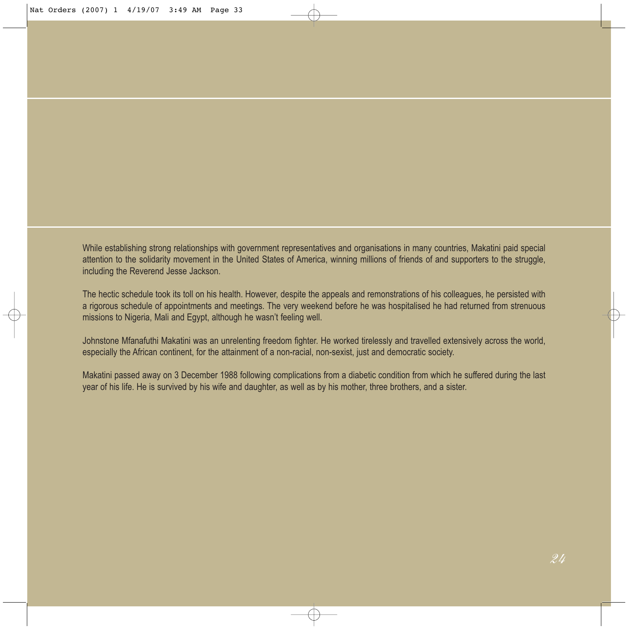While establishing strong relationships with government representatives and organisations in many countries, Makatini paid special attention to the solidarity movement in the United States of America, winning millions of friends of and supporters to the struggle, including the Reverend Jesse Jackson.

The hectic schedule took its toll on his health. However, despite the appeals and remonstrations of his colleagues, he persisted with a rigorous schedule of appointments and meetings. The very weekend before he was hospitalised he had returned from strenuous missions to Nigeria, Mali and Egypt, although he wasn't feeling well.

Johnstone Mfanafuthi Makatini was an unrelenting freedom fighter. He worked tirelessly and travelled extensively across the world, especially the African continent, for the attainment of a non-racial, non-sexist, just and democratic society.

Makatini passed away on 3 December 1988 following complications from a diabetic condition from which he suffered during the last year of his life. He is survived by his wife and daughter, as well as by his mother, three brothers, and a sister.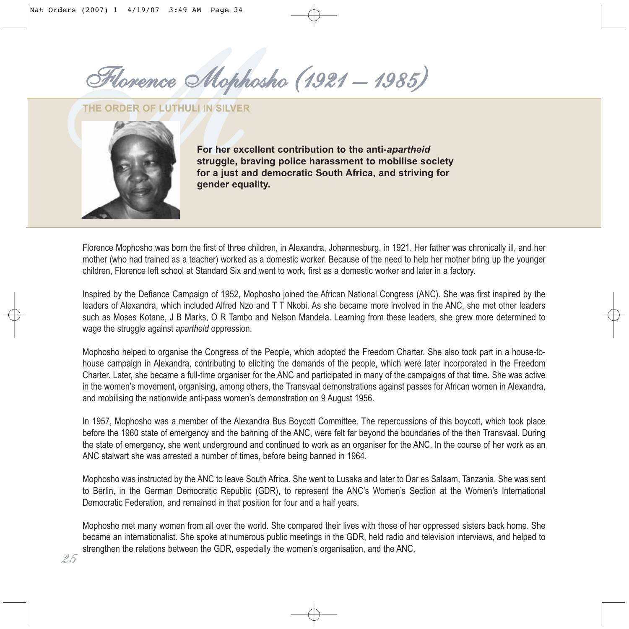*MFlorence Mophosho (1921 – 1985)*

**THE ORDER OF LUTHULI IN SILVER**



*25*

**For her excellent contribution to the anti-***apartheid* **struggle, braving police harassment to mobilise society for a just and democratic South Africa, and striving for gender equality.**

Florence Mophosho was born the first of three children, in Alexandra, Johannesburg, in 1921. Her father was chronically ill, and her mother (who had trained as a teacher) worked as a domestic worker. Because of the need to help her mother bring up the younger children, Florence left school at Standard Six and went to work, first as a domestic worker and later in a factory.

Inspired by the Defiance Campaign of 1952, Mophosho joined the African National Congress (ANC). She was first inspired by the leaders of Alexandra, which included Alfred Nzo and T T Nkobi. As she became more involved in the ANC, she met other leaders such as Moses Kotane, J B Marks, O R Tambo and Nelson Mandela. Learning from these leaders, she grew more determined to wage the struggle against *apartheid* oppression.

Mophosho helped to organise the Congress of the People, which adopted the Freedom Charter. She also took part in a house-tohouse campaign in Alexandra, contributing to eliciting the demands of the people, which were later incorporated in the Freedom Charter. Later, she became a full-time organiser for the ANC and participated in many of the campaigns of that time. She was active in the women's movement, organising, among others, the Transvaal demonstrations against passes for African women in Alexandra, and mobilising the nationwide anti-pass women's demonstration on 9 August 1956.

In 1957, Mophosho was a member of the Alexandra Bus Boycott Committee. The repercussions of this boycott, which took place before the 1960 state of emergency and the banning of the ANC, were felt far beyond the boundaries of the then Transvaal. During the state of emergency, she went underground and continued to work as an organiser for the ANC. In the course of her work as an ANC stalwart she was arrested a number of times, before being banned in 1964.

Mophosho was instructed by the ANC to leave South Africa. She went to Lusaka and later to Dar es Salaam, Tanzania. She was sent to Berlin, in the German Democratic Republic (GDR), to represent the ANC's Women's Section at the Women's International Democratic Federation, and remained in that position for four and a half years.

Mophosho met many women from all over the world. She compared their lives with those of her oppressed sisters back home. She became an internationalist. She spoke at numerous public meetings in the GDR, held radio and television interviews, and helped to strengthen the relations between the GDR, especially the women's organisation, and the ANC.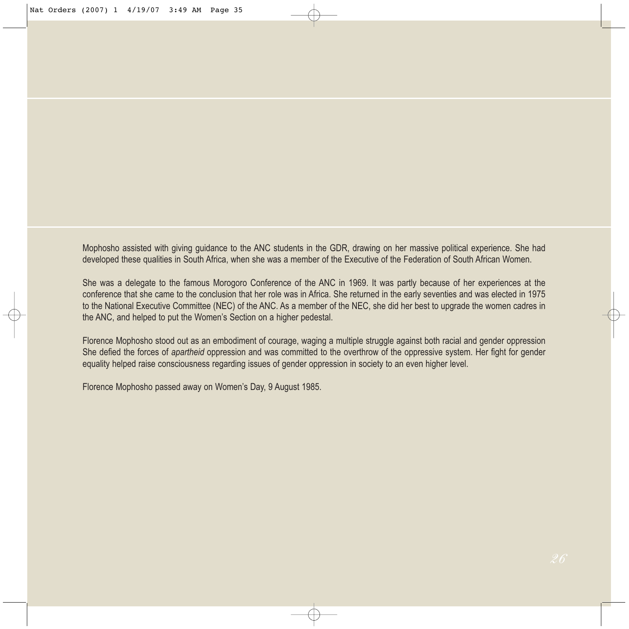Mophosho assisted with giving guidance to the ANC students in the GDR, drawing on her massive political experience. She had developed these qualities in South Africa, when she was a member of the Executive of the Federation of South African Women.

She was a delegate to the famous Morogoro Conference of the ANC in 1969. It was partly because of her experiences at the conference that she came to the conclusion that her role was in Africa. She returned in the early seventies and was elected in 1975 to the National Executive Committee (NEC) of the ANC. As a member of the NEC, she did her best to upgrade the women cadres in the ANC, and helped to put the Women's Section on a higher pedestal.

Florence Mophosho stood out as an embodiment of courage, waging a multiple struggle against both racial and gender oppression She defied the forces of *apartheid* oppression and was committed to the overthrow of the oppressive system. Her fight for gender equality helped raise consciousness regarding issues of gender oppression in society to an even higher level.

Florence Mophosho passed away on Women's Day, 9 August 1985.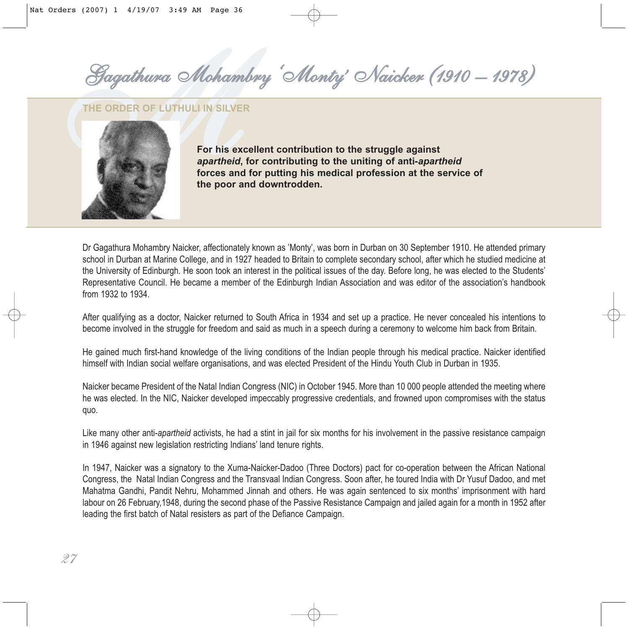*' Naicker (1910 – 1978)*

#### **THE ORDER OF LUTHULI IN SILVER**



**For his excellent contribution to the struggle against** *apartheid***, for contributing to the uniting of anti-***apartheid* **forces and for putting his medical profession at the service of the poor and downtrodden.**

Dr Gagathura Mohambry Naicker, affectionately known as 'Monty', was born in Durban on 30 September 1910. He attended primary school in Durban at Marine College, and in 1927 headed to Britain to complete secondary school, after which he studied medicine at the University of Edinburgh. He soon took an interest in the political issues of the day. Before long, he was elected to the Students' Representative Council. He became a member of the Edinburgh Indian Association and was editor of the association's handbook from 1932 to 1934.

After qualifying as a doctor, Naicker returned to South Africa in 1934 and set up a practice. He never concealed his intentions to become involved in the struggle for freedom and said as much in a speech during a ceremony to welcome him back from Britain.

He gained much first-hand knowledge of the living conditions of the Indian people through his medical practice. Naicker identified himself with Indian social welfare organisations, and was elected President of the Hindu Youth Club in Durban in 1935.

Naicker became President of the Natal Indian Congress (NIC) in October 1945. More than 10 000 people attended the meeting where he was elected. In the NIC, Naicker developed impeccably progressive credentials, and frowned upon compromises with the status quo.

Like many other anti-*apartheid* activists, he had a stint in jail for six months for his involvement in the passive resistance campaign in 1946 against new legislation restricting Indians' land tenure rights.

In 1947, Naicker was a signatory to the Xuma-Naicker-Dadoo (Three Doctors) pact for co-operation between the African National Congress, the Natal Indian Congress and the Transvaal Indian Congress. Soon after, he toured India with Dr Yusuf Dadoo, and met Mahatma Gandhi, Pandit Nehru, Mohammed Jinnah and others. He was again sentenced to six months' imprisonment with hard labour on 26 February,1948, during the second phase of the Passive Resistance Campaign and jailed again for a month in 1952 after leading the first batch of Natal resisters as part of the Defiance Campaign.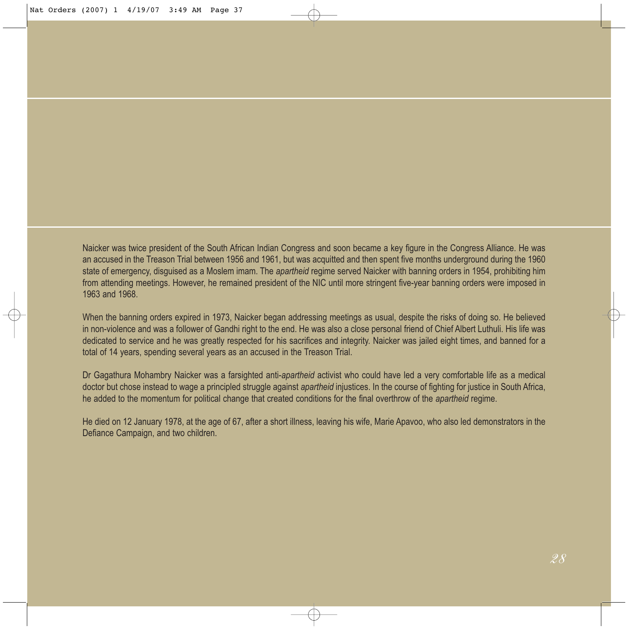Naicker was twice president of the South African Indian Congress and soon became a key figure in the Congress Alliance. He was an accused in the Treason Trial between 1956 and 1961, but was acquitted and then spent five months underground during the 1960 state of emergency, disguised as a Moslem imam. The *apartheid* regime served Naicker with banning orders in 1954, prohibiting him from attending meetings. However, he remained president of the NIC until more stringent five-year banning orders were imposed in 1963 and 1968.

When the banning orders expired in 1973, Naicker began addressing meetings as usual, despite the risks of doing so. He believed in non-violence and was a follower of Gandhi right to the end. He was also a close personal friend of Chief Albert Luthuli. His life was dedicated to service and he was greatly respected for his sacrifices and integrity. Naicker was jailed eight times, and banned for a total of 14 years, spending several years as an accused in the Treason Trial.

Dr Gagathura Mohambry Naicker was a farsighted anti-*apartheid* activist who could have led a very comfortable life as a medical doctor but chose instead to wage a principled struggle against *apartheid* injustices. In the course of fighting for justice in South Africa, he added to the momentum for political change that created conditions for the final overthrow of the *apartheid* regime.

He died on 12 January 1978, at the age of 67, after a short illness, leaving his wife, Marie Apavoo, who also led demonstrators in the Defiance Campaign, and two children.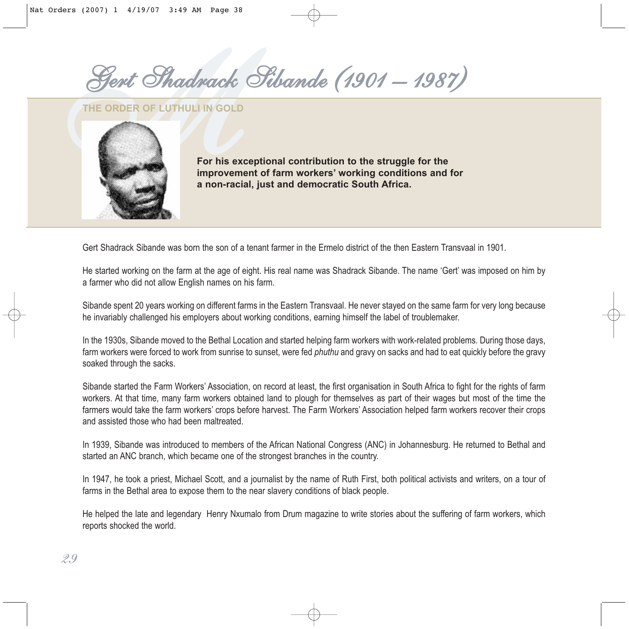*MGert Shadrack Sibande (1901 – 1987)*

**THE ORDER OF LUTHULI IN GOLD**



**For his exceptional contribution to the struggle for the improvement of farm workers' working conditions and for a non-racial, just and democratic South Africa.**

Gert Shadrack Sibande was born the son of a tenant farmer in the Ermelo district of the then Eastern Transvaal in 1901.

He started working on the farm at the age of eight. His real name was Shadrack Sibande. The name 'Gert' was imposed on him by a farmer who did not allow English names on his farm.

Sibande spent 20 years working on different farms in the Eastern Transvaal. He never stayed on the same farm for very long because he invariably challenged his employers about working conditions, earning himself the label of troublemaker.

In the 1930s, Sibande moved to the Bethal Location and started helping farm workers with work-related problems. During those days, farm workers were forced to work from sunrise to sunset, were fed *phuthu* and gravy on sacks and had to eat quickly before the gravy soaked through the sacks.

Sibande started the Farm Workers' Association, on record at least, the first organisation in South Africa to fight for the rights of farm workers. At that time, many farm workers obtained land to plough for themselves as part of their wages but most of the time the farmers would take the farm workers' crops before harvest. The Farm Workers' Association helped farm workers recover their crops and assisted those who had been maltreated.

In 1939, Sibande was introduced to members of the African National Congress (ANC) in Johannesburg. He returned to Bethal and started an ANC branch, which became one of the strongest branches in the country.

In 1947, he took a priest, Michael Scott, and a journalist by the name of Ruth First, both political activists and writers, on a tour of farms in the Bethal area to expose them to the near slavery conditions of black people.

He helped the late and legendary Henry Nxumalo from Drum magazine to write stories about the suffering of farm workers, which reports shocked the world.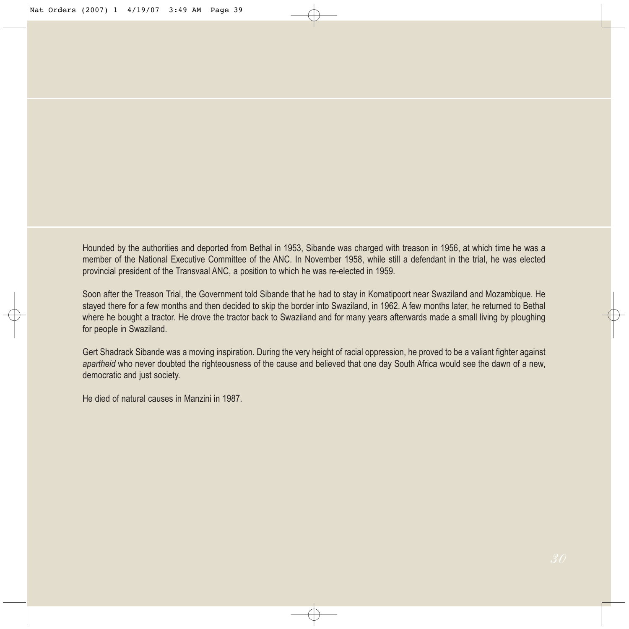Hounded by the authorities and deported from Bethal in 1953, Sibande was charged with treason in 1956, at which time he was a member of the National Executive Committee of the ANC. In November 1958, while still a defendant in the trial, he was elected provincial president of the Transvaal ANC, a position to which he was re-elected in 1959.

Soon after the Treason Trial, the Government told Sibande that he had to stay in Komatipoort near Swaziland and Mozambique. He stayed there for a few months and then decided to skip the border into Swaziland, in 1962. A few months later, he returned to Bethal where he bought a tractor. He drove the tractor back to Swaziland and for many years afterwards made a small living by ploughing for people in Swaziland.

Gert Shadrack Sibande was a moving inspiration. During the very height of racial oppression, he proved to be a valiant fighter against *apartheid* who never doubted the righteousness of the cause and believed that one day South Africa would see the dawn of a new, democratic and just society.

He died of natural causes in Manzini in 1987.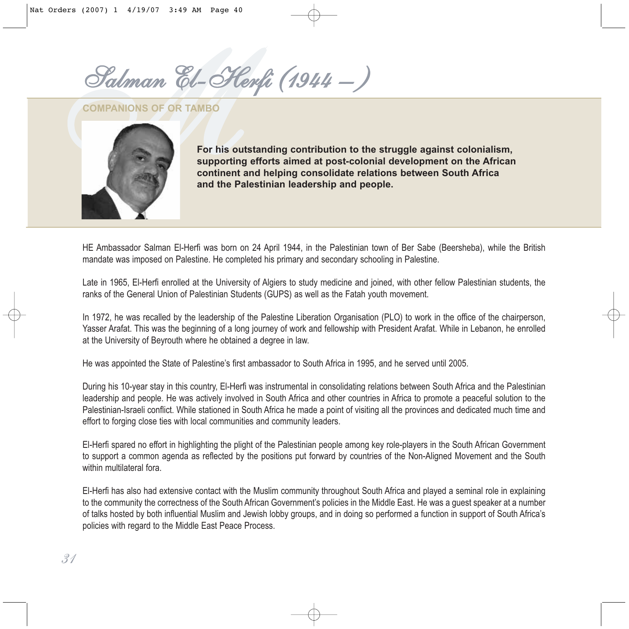*MSalman El-Herfi (1944 – )*

**COMPANIONS OF OR TAMBO**



**For his outstanding contribution to the struggle against colonialism, supporting efforts aimed at post-colonial development on the African continent and helping consolidate relations between South Africa and the Palestinian leadership and people.**

HE Ambassador Salman El-Herfi was born on 24 April 1944, in the Palestinian town of Ber Sabe (Beersheba), while the British mandate was imposed on Palestine. He completed his primary and secondary schooling in Palestine.

Late in 1965, El-Herfi enrolled at the University of Algiers to study medicine and joined, with other fellow Palestinian students, the ranks of the General Union of Palestinian Students (GUPS) as well as the Fatah youth movement.

In 1972, he was recalled by the leadership of the Palestine Liberation Organisation (PLO) to work in the office of the chairperson, Yasser Arafat. This was the beginning of a long journey of work and fellowship with President Arafat. While in Lebanon, he enrolled at the University of Beyrouth where he obtained a degree in law.

He was appointed the State of Palestine's first ambassador to South Africa in 1995, and he served until 2005.

During his 10-year stay in this country, El-Herfi was instrumental in consolidating relations between South Africa and the Palestinian leadership and people. He was actively involved in South Africa and other countries in Africa to promote a peaceful solution to the Palestinian-Israeli conflict. While stationed in South Africa he made a point of visiting all the provinces and dedicated much time and effort to forging close ties with local communities and community leaders.

El-Herfi spared no effort in highlighting the plight of the Palestinian people among key role-players in the South African Government to support a common agenda as reflected by the positions put forward by countries of the Non-Aligned Movement and the South within multilateral fora.

El-Herfi has also had extensive contact with the Muslim community throughout South Africa and played a seminal role in explaining to the community the correctness of the South African Government's policies in the Middle East. He was a guest speaker at a number of talks hosted by both influential Muslim and Jewish lobby groups, and in doing so performed a function in support of South Africa's policies with regard to the Middle East Peace Process.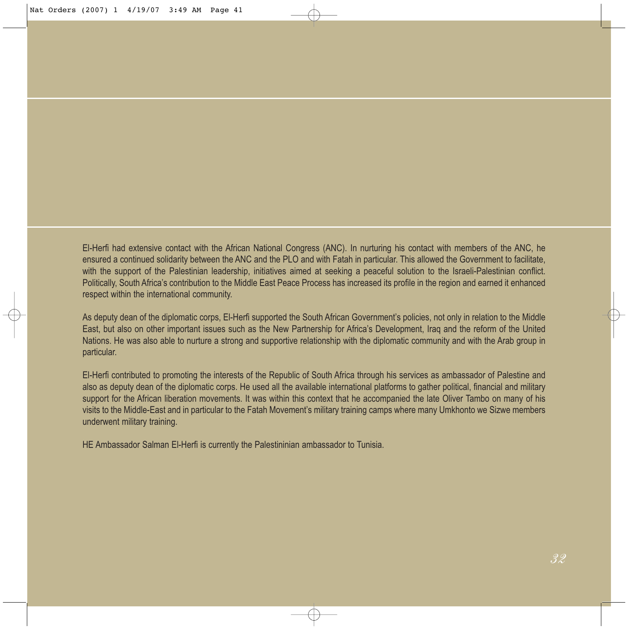El-Herfi had extensive contact with the African National Congress (ANC). In nurturing his contact with members of the ANC, he ensured a continued solidarity between the ANC and the PLO and with Fatah in particular. This allowed the Government to facilitate, with the support of the Palestinian leadership, initiatives aimed at seeking a peaceful solution to the Israeli-Palestinian conflict. Politically, South Africa's contribution to the Middle East Peace Process has increased its profile in the region and earned it enhanced respect within the international community.

As deputy dean of the diplomatic corps, El-Herfi supported the South African Government's policies, not only in relation to the Middle East, but also on other important issues such as the New Partnership for Africa's Development, Iraq and the reform of the United Nations. He was also able to nurture a strong and supportive relationship with the diplomatic community and with the Arab group in particular.

El-Herfi contributed to promoting the interests of the Republic of South Africa through his services as ambassador of Palestine and also as deputy dean of the diplomatic corps. He used all the available international platforms to gather political, financial and military support for the African liberation movements. It was within this context that he accompanied the late Oliver Tambo on many of his visits to the Middle-East and in particular to the Fatah Movement's military training camps where many Umkhonto we Sizwe members underwent military training.

HE Ambassador Salman El-Herfi is currently the Palestininian ambassador to Tunisia.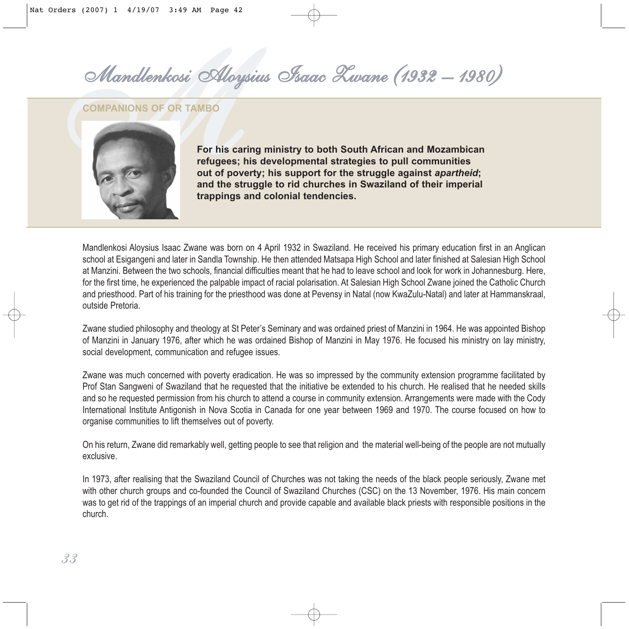*MMandlenkosi Aloysius Isaac Zwane (1932 – 1980)*

**COMPANIONS OF OR TAMBO**



**For his caring ministry to both South African and Mozambican refugees; his developmental strategies to pull communities out of poverty; his support for the struggle against** *apartheid***; and the struggle to rid churches in Swaziland of their imperial trappings and colonial tendencies.**

Mandlenkosi Aloysius Isaac Zwane was born on 4 April 1932 in Swaziland. He received his primary education first in an Anglican school at Esigangeni and later in Sandla Township. He then attended Matsapa High School and later finished at Salesian High School at Manzini. Between the two schools, financial difficulties meant that he had to leave school and look for work in Johannesburg. Here, for the first time, he experienced the palpable impact of racial polarisation. At Salesian High School Zwane joined the Catholic Church and priesthood. Part of his training for the priesthood was done at Pevensy in Natal (now KwaZulu-Natal) and later at Hammanskraal, outside Pretoria.

Zwane studied philosophy and theology at St Peter's Seminary and was ordained priest of Manzini in 1964. He was appointed Bishop of Manzini in January 1976, after which he was ordained Bishop of Manzini in May 1976. He focused his ministry on lay ministry, social development, communication and refugee issues.

Zwane was much concerned with poverty eradication. He was so impressed by the community extension programme facilitated by Prof Stan Sangweni of Swaziland that he requested that the initiative be extended to his church. He realised that he needed skills and so he requested permission from his church to attend a course in community extension. Arrangements were made with the Cody International Institute Antigonish in Nova Scotia in Canada for one year between 1969 and 1970. The course focused on how to organise communities to lift themselves out of poverty.

On his return, Zwane did remarkably well, getting people to see that religion and the material well-being of the people are not mutually exclusive.

In 1973, after realising that the Swaziland Council of Churches was not taking the needs of the black people seriously, Zwane met with other church groups and co-founded the Council of Swaziland Churches (CSC) on the 13 November, 1976. His main concern was to get rid of the trappings of an imperial church and provide capable and available black priests with responsible positions in the church.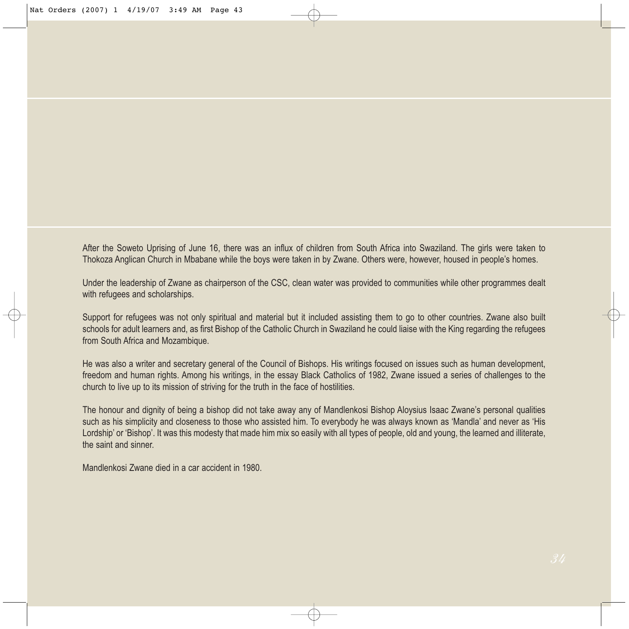After the Soweto Uprising of June 16, there was an influx of children from South Africa into Swaziland. The girls were taken to Thokoza Anglican Church in Mbabane while the boys were taken in by Zwane. Others were, however, housed in people's homes.

Under the leadership of Zwane as chairperson of the CSC, clean water was provided to communities while other programmes dealt with refugees and scholarships.

Support for refugees was not only spiritual and material but it included assisting them to go to other countries. Zwane also built schools for adult learners and, as first Bishop of the Catholic Church in Swaziland he could liaise with the King regarding the refugees from South Africa and Mozambique.

He was also a writer and secretary general of the Council of Bishops. His writings focused on issues such as human development, freedom and human rights. Among his writings, in the essay Black Catholics of 1982, Zwane issued a series of challenges to the church to live up to its mission of striving for the truth in the face of hostilities.

The honour and dignity of being a bishop did not take away any of Mandlenkosi Bishop Aloysius Isaac Zwane's personal qualities such as his simplicity and closeness to those who assisted him. To everybody he was always known as 'Mandla' and never as 'His Lordship' or 'Bishop'. It was this modesty that made him mix so easily with all types of people, old and young, the learned and illiterate, the saint and sinner.

Mandlenkosi Zwane died in a car accident in 1980.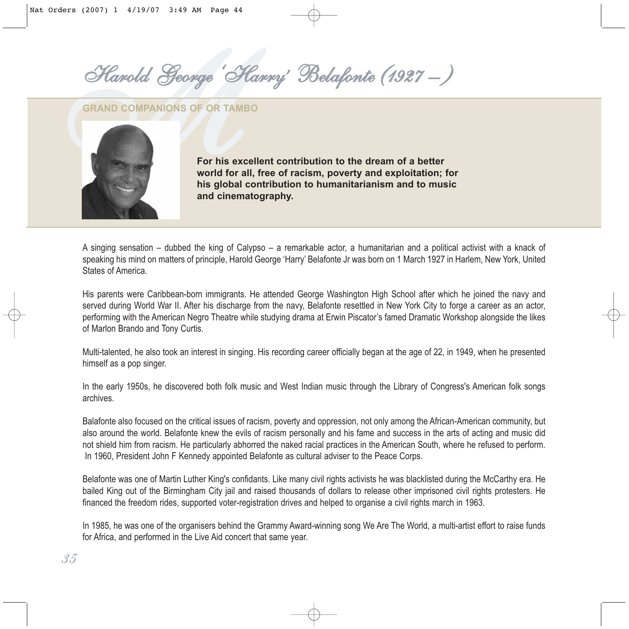*' Belafonte (1927 – )*

**GRAND COMPANIONS OF OR TAMBO**



**For his excellent contribution to the dream of a better world for all, free of racism, poverty and exploitation; for his global contribution to humanitarianism and to music and cinematography.**

A singing sensation – dubbed the king of Calypso – a remarkable actor, a humanitarian and a political activist with a knack of speaking his mind on matters of principle, Harold George 'Harry' Belafonte Jr was born on 1 March 1927 in Harlem, New York, United States of America.

His parents were Caribbean-born immigrants. He attended George Washington High School after which he joined the navy and served during World War II. After his discharge from the navy, Belafonte resettled in New York City to forge a career as an actor, performing with the American Negro Theatre while studying drama at Erwin Piscator's famed Dramatic Workshop alongside the likes of Marlon Brando and Tony Curtis.

Multi-talented, he also took an interest in singing. His recording career officially began at the age of 22, in 1949, when he presented himself as a pop singer.

In the early 1950s, he discovered both folk music and West Indian music through the Library of Congress's American folk songs archives.

Balafonte also focused on the critical issues of racism, poverty and oppression, not only among the African-American community, but also around the world. Belafonte knew the evils of racism personally and his fame and success in the arts of acting and music did not shield him from racism. He particularly abhorred the naked racial practices in the American South, where he refused to perform. In 1960, President John F Kennedy appointed Belafonte as cultural adviser to the Peace Corps.

Belafonte was one of Martin Luther King's confidants. Like many civil rights activists he was blacklisted during the McCarthy era. He bailed King out of the Birmingham City jail and raised thousands of dollars to release other imprisoned civil rights protesters. He financed the freedom rides, supported voter-registration drives and helped to organise a civil rights march in 1963.

In 1985, he was one of the organisers behind the Grammy Award-winning song We Are The World, a multi-artist effort to raise funds for Africa, and performed in the Live Aid concert that same year.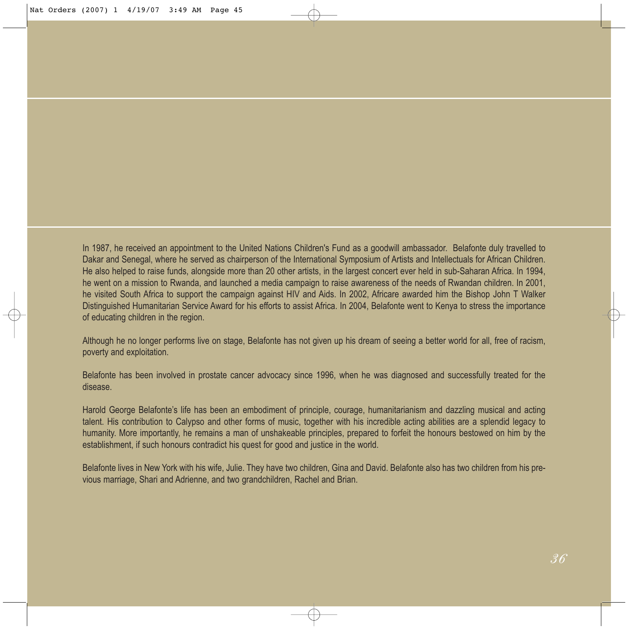In 1987, he received an appointment to the United Nations Children's Fund as a goodwill ambassador. Belafonte duly travelled to Dakar and Senegal, where he served as chairperson of the International Symposium of Artists and Intellectuals for African Children. He also helped to raise funds, alongside more than 20 other artists, in the largest concert ever held in sub-Saharan Africa. In 1994, he went on a mission to Rwanda, and launched a media campaign to raise awareness of the needs of Rwandan children. In 2001, he visited South Africa to support the campaign against HIV and Aids. In 2002, Africare awarded him the Bishop John T Walker Distinguished Humanitarian Service Award for his efforts to assist Africa. In 2004, Belafonte went to Kenya to stress the importance of educating children in the region.

Although he no longer performs live on stage, Belafonte has not given up his dream of seeing a better world for all, free of racism, poverty and exploitation.

Belafonte has been involved in prostate cancer advocacy since 1996, when he was diagnosed and successfully treated for the disease.

Harold George Belafonte's life has been an embodiment of principle, courage, humanitarianism and dazzling musical and acting talent. His contribution to Calypso and other forms of music, together with his incredible acting abilities are a splendid legacy to humanity. More importantly, he remains a man of unshakeable principles, prepared to forfeit the honours bestowed on him by the establishment, if such honours contradict his quest for good and justice in the world.

Belafonte lives in New York with his wife, Julie. They have two children, Gina and David. Belafonte also has two children from his previous marriage, Shari and Adrienne, and two grandchildren, Rachel and Brian.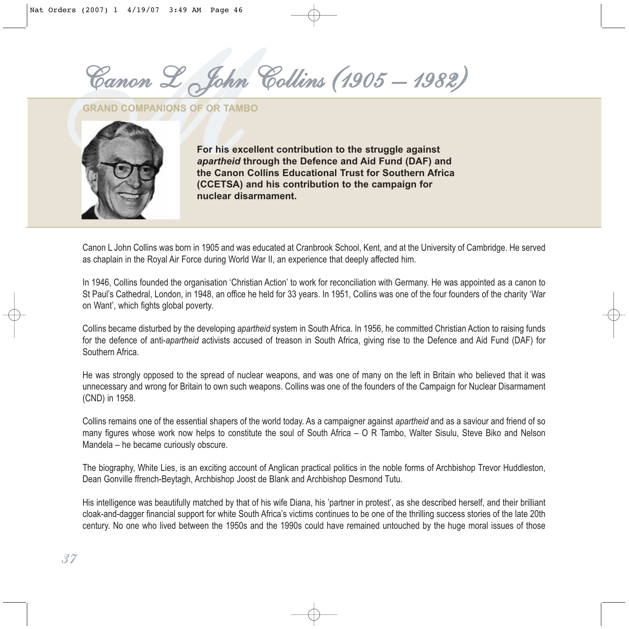*MCanon L John Collins (1905 – 1982)*

**GRAND COMPANIONS OF OR TAMBO**



**For his excellent contribution to the struggle against** *apartheid* **through the Defence and Aid Fund (DAF) and the Canon Collins Educational Trust for Southern Africa (CCETSA) and his contribution to the campaign for nuclear disarmament.** 

Canon L John Collins was born in 1905 and was educated at Cranbrook School, Kent, and at the University of Cambridge. He served as chaplain in the Royal Air Force during World War II, an experience that deeply affected him.

In 1946, Collins founded the organisation 'Christian Action' to work for reconciliation with Germany. He was appointed as a canon to St Paul's Cathedral, London, in 1948, an office he held for 33 years. In 1951, Collins was one of the four founders of the charity 'War on Want', which fights global poverty.

Collins became disturbed by the developing *apartheid* system in South Africa. In 1956, he committed Christian Action to raising funds for the defence of anti-*apartheid* activists accused of treason in South Africa, giving rise to the Defence and Aid Fund (DAF) for Southern Africa.

He was strongly opposed to the spread of nuclear weapons, and was one of many on the left in Britain who believed that it was unnecessary and wrong for Britain to own such weapons. Collins was one of the founders of the Campaign for Nuclear Disarmament (CND) in 1958.

Collins remains one of the essential shapers of the world today. As a campaigner against *apartheid* and as a saviour and friend of so many figures whose work now helps to constitute the soul of South Africa – O R Tambo, Walter Sisulu, Steve Biko and Nelson Mandela – he became curiously obscure.

The biography, White Lies, is an exciting account of Anglican practical politics in the noble forms of Archbishop Trevor Huddleston, Dean Gonville ffrench-Beytagh, Archbishop Joost de Blank and Archbishop Desmond Tutu.

His intelligence was beautifully matched by that of his wife Diana, his 'partner in protest', as she described herself, and their brilliant cloak-and-dagger financial support for white South Africa's victims continues to be one of the thrilling success stories of the late 20th century. No one who lived between the 1950s and the 1990s could have remained untouched by the huge moral issues of those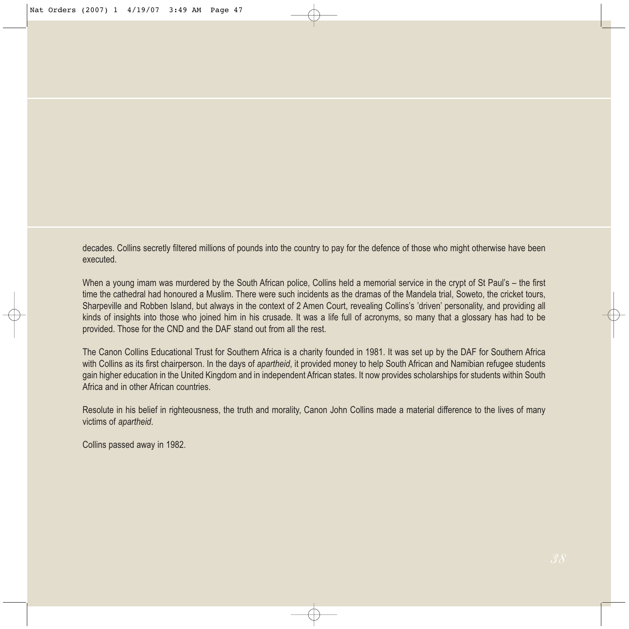decades. Collins secretly filtered millions of pounds into the country to pay for the defence of those who might otherwise have been executed.

When a young imam was murdered by the South African police, Collins held a memorial service in the crypt of St Paul's – the first time the cathedral had honoured a Muslim. There were such incidents as the dramas of the Mandela trial, Soweto, the cricket tours, Sharpeville and Robben Island, but always in the context of 2 Amen Court, revealing Collins's 'driven' personality, and providing all kinds of insights into those who joined him in his crusade. It was a life full of acronyms, so many that a glossary has had to be provided. Those for the CND and the DAF stand out from all the rest.

The Canon Collins Educational Trust for Southern Africa is a charity founded in 1981. It was set up by the DAF for Southern Africa with Collins as its first chairperson. In the days of *apartheid*, it provided money to help South African and Namibian refugee students gain higher education in the United Kingdom and in independent African states. It now provides scholarships for students within South Africa and in other African countries.

Resolute in his belief in righteousness, the truth and morality, Canon John Collins made a material difference to the lives of many victims of *apartheid*.

Collins passed away in 1982.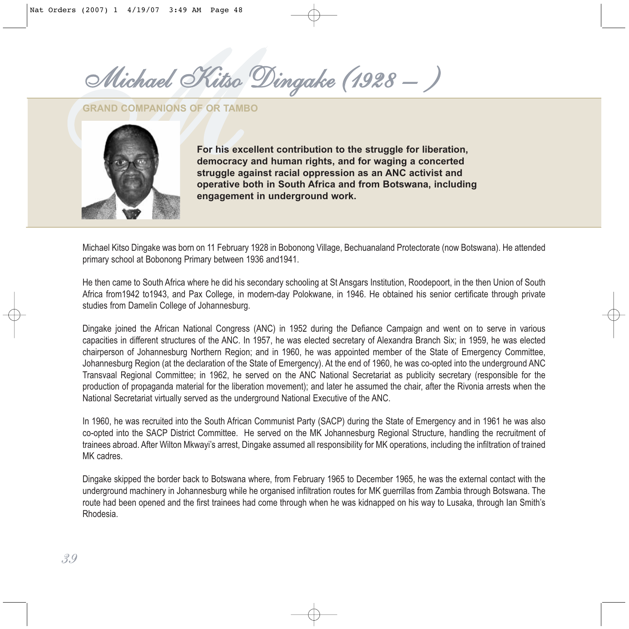$Michael$  Kitso Dingake (1928 -)

**GRAND COMPANIONS OF OR TAMBO**



**For his excellent contribution to the struggle for liberation, democracy and human rights, and for waging a concerted struggle against racial oppression as an ANC activist and operative both in South Africa and from Botswana, including engagement in underground work.**

Michael Kitso Dingake was born on 11 February 1928 in Bobonong Village, Bechuanaland Protectorate (now Botswana). He attended primary school at Bobonong Primary between 1936 and1941.

He then came to South Africa where he did his secondary schooling at St Ansgars Institution, Roodepoort, in the then Union of South Africa from1942 to1943, and Pax College, in modern-day Polokwane, in 1946. He obtained his senior certificate through private studies from Damelin College of Johannesburg.

Dingake joined the African National Congress (ANC) in 1952 during the Defiance Campaign and went on to serve in various capacities in different structures of the ANC. In 1957, he was elected secretary of Alexandra Branch Six; in 1959, he was elected chairperson of Johannesburg Northern Region; and in 1960, he was appointed member of the State of Emergency Committee, Johannesburg Region (at the declaration of the State of Emergency). At the end of 1960, he was co-opted into the underground ANC Transvaal Regional Committee; in 1962, he served on the ANC National Secretariat as publicity secretary (responsible for the production of propaganda material for the liberation movement); and later he assumed the chair, after the Rivonia arrests when the National Secretariat virtually served as the underground National Executive of the ANC.

In 1960, he was recruited into the South African Communist Party (SACP) during the State of Emergency and in 1961 he was also co-opted into the SACP District Committee. He served on the MK Johannesburg Regional Structure, handling the recruitment of trainees abroad. After Wilton Mkwayi's arrest, Dingake assumed all responsibility for MK operations, including the infiltration of trained MK cadres.

Dingake skipped the border back to Botswana where, from February 1965 to December 1965, he was the external contact with the underground machinery in Johannesburg while he organised infiltration routes for MK guerrillas from Zambia through Botswana. The route had been opened and the first trainees had come through when he was kidnapped on his way to Lusaka, through Ian Smith's Rhodesia.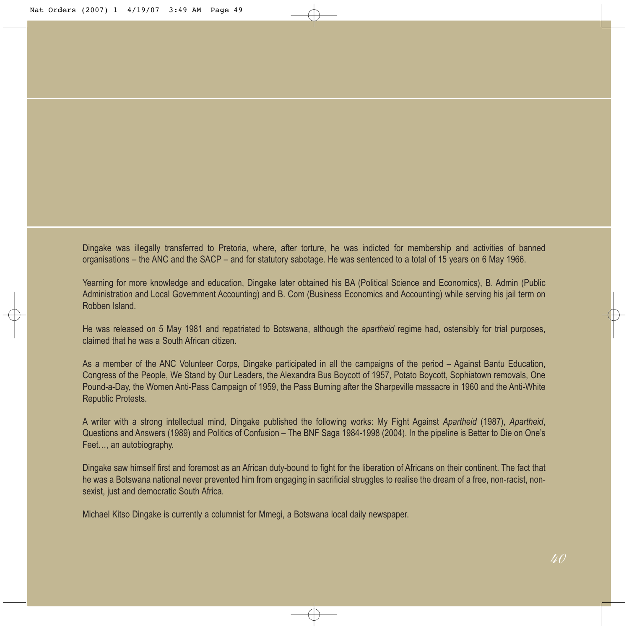Dingake was illegally transferred to Pretoria, where, after torture, he was indicted for membership and activities of banned organisations – the ANC and the SACP – and for statutory sabotage. He was sentenced to a total of 15 years on 6 May 1966.

Yearning for more knowledge and education, Dingake later obtained his BA (Political Science and Economics), B. Admin (Public Administration and Local Government Accounting) and B. Com (Business Economics and Accounting) while serving his jail term on Robben Island.

He was released on 5 May 1981 and repatriated to Botswana, although the *apartheid* regime had, ostensibly for trial purposes, claimed that he was a South African citizen.

As a member of the ANC Volunteer Corps, Dingake participated in all the campaigns of the period – Against Bantu Education, Congress of the People, We Stand by Our Leaders, the Alexandra Bus Boycott of 1957, Potato Boycott, Sophiatown removals, One Pound-a-Day, the Women Anti-Pass Campaign of 1959, the Pass Burning after the Sharpeville massacre in 1960 and the Anti-White Republic Protests.

A writer with a strong intellectual mind, Dingake published the following works: My Fight Against *Apartheid* (1987), *Apartheid*, Questions and Answers (1989) and Politics of Confusion – The BNF Saga 1984-1998 (2004). In the pipeline is Better to Die on One's Feet…, an autobiography.

Dingake saw himself first and foremost as an African duty-bound to fight for the liberation of Africans on their continent. The fact that he was a Botswana national never prevented him from engaging in sacrificial struggles to realise the dream of a free, non-racist, nonsexist, just and democratic South Africa.

Michael Kitso Dingake is currently a columnist for Mmegi, a Botswana local daily newspaper.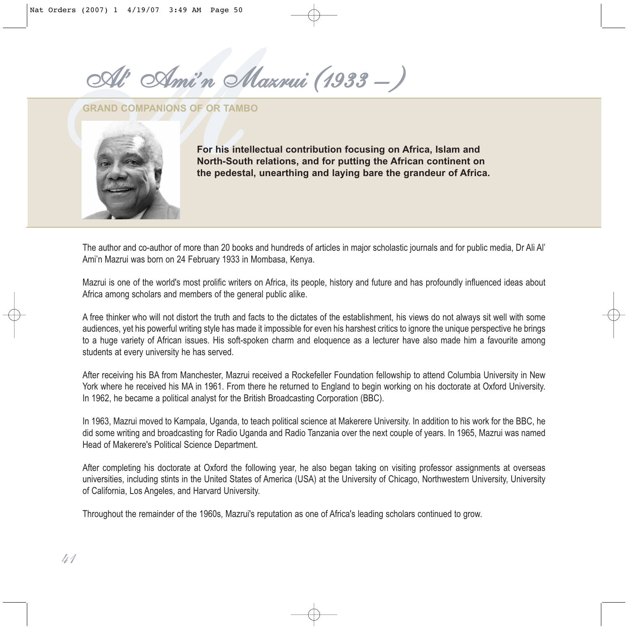*n Mazrui (1933 – )*

**GRAND COMPANIONS OF OR TAMBO**



**For his intellectual contribution focusing on Africa, Islam and North-South relations, and for putting the African continent on the pedestal, unearthing and laying bare the grandeur of Africa.**

The author and co-author of more than 20 books and hundreds of articles in major scholastic journals and for public media, Dr Ali Al' Ami'n Mazrui was born on 24 February 1933 in Mombasa, Kenya.

Mazrui is one of the world's most prolific writers on Africa, its people, history and future and has profoundly influenced ideas about Africa among scholars and members of the general public alike.

A free thinker who will not distort the truth and facts to the dictates of the establishment, his views do not always sit well with some audiences, yet his powerful writing style has made it impossible for even his harshest critics to ignore the unique perspective he brings to a huge variety of African issues. His soft-spoken charm and eloquence as a lecturer have also made him a favourite among students at every university he has served.

After receiving his BA from Manchester, Mazrui received a Rockefeller Foundation fellowship to attend Columbia University in New York where he received his MA in 1961. From there he returned to England to begin working on his doctorate at Oxford University. In 1962, he became a political analyst for the British Broadcasting Corporation (BBC).

In 1963, Mazrui moved to Kampala, Uganda, to teach political science at Makerere University. In addition to his work for the BBC, he did some writing and broadcasting for Radio Uganda and Radio Tanzania over the next couple of years. In 1965, Mazrui was named Head of Makerere's Political Science Department.

After completing his doctorate at Oxford the following year, he also began taking on visiting professor assignments at overseas universities, including stints in the United States of America (USA) at the University of Chicago, Northwestern University, University of California, Los Angeles, and Harvard University.

Throughout the remainder of the 1960s, Mazrui's reputation as one of Africa's leading scholars continued to grow.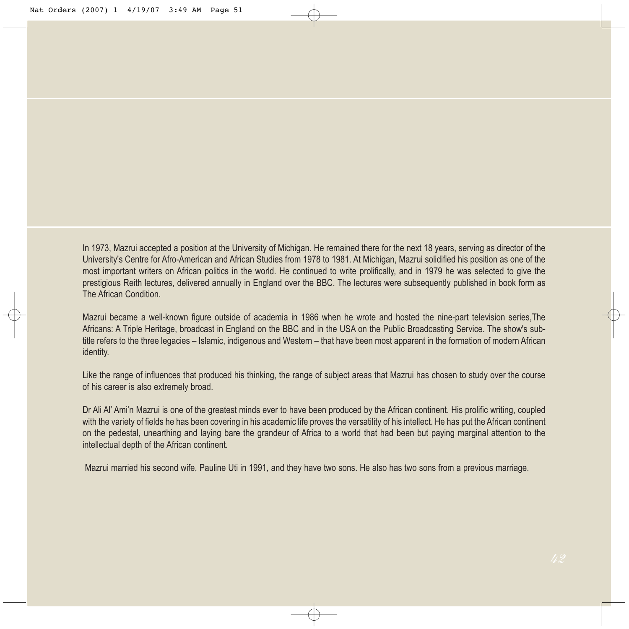In 1973, Mazrui accepted a position at the University of Michigan. He remained there for the next 18 years, serving as director of the University's Centre for Afro-American and African Studies from 1978 to 1981. At Michigan, Mazrui solidified his position as one of the most important writers on African politics in the world. He continued to write prolifically, and in 1979 he was selected to give the prestigious Reith lectures, delivered annually in England over the BBC. The lectures were subsequently published in book form as The African Condition.

Mazrui became a well-known figure outside of academia in 1986 when he wrote and hosted the nine-part television series,The Africans: A Triple Heritage, broadcast in England on the BBC and in the USA on the Public Broadcasting Service. The show's subtitle refers to the three legacies – Islamic, indigenous and Western – that have been most apparent in the formation of modern African identity.

Like the range of influences that produced his thinking, the range of subject areas that Mazrui has chosen to study over the course of his career is also extremely broad.

Dr Ali Al' Ami'n Mazrui is one of the greatest minds ever to have been produced by the African continent. His prolific writing, coupled with the variety of fields he has been covering in his academic life proves the versatility of his intellect. He has put the African continent on the pedestal, unearthing and laying bare the grandeur of Africa to a world that had been but paying marginal attention to the intellectual depth of the African continent.

Mazrui married his second wife, Pauline Uti in 1991, and they have two sons. He also has two sons from a previous marriage.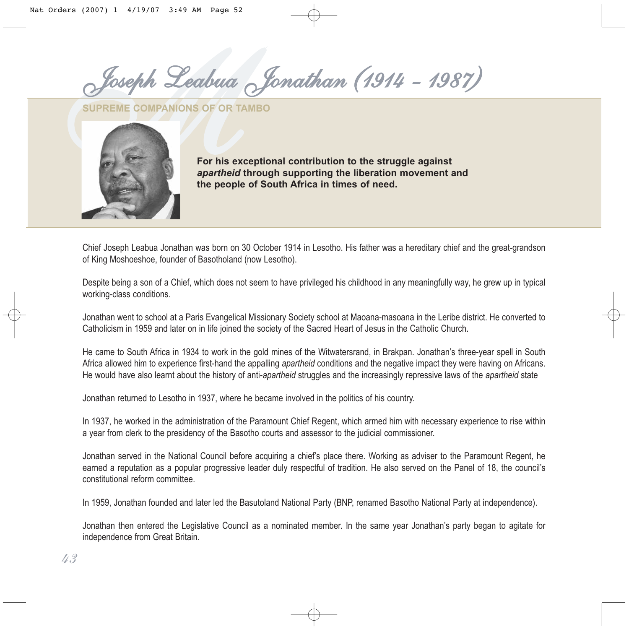*MJoseph Leabua Jonathan (1914 - 1987)*

**SUPREME COMPANIONS OF OR TAMBO**



**For his exceptional contribution to the struggle against** *apartheid* **through supporting the liberation movement and the people of South Africa in times of need.**

Chief Joseph Leabua Jonathan was born on 30 October 1914 in Lesotho. His father was a hereditary chief and the great-grandson of King Moshoeshoe, founder of Basotholand (now Lesotho).

Despite being a son of a Chief, which does not seem to have privileged his childhood in any meaningfully way, he grew up in typical working-class conditions.

Jonathan went to school at a Paris Evangelical Missionary Society school at Maoana-masoana in the Leribe district. He converted to Catholicism in 1959 and later on in life joined the society of the Sacred Heart of Jesus in the Catholic Church.

He came to South Africa in 1934 to work in the gold mines of the Witwatersrand, in Brakpan. Jonathan's three-year spell in South Africa allowed him to experience first-hand the appalling *apartheid* conditions and the negative impact they were having on Africans. He would have also learnt about the history of anti-*apartheid* struggles and the increasingly repressive laws of the *apartheid* state

Jonathan returned to Lesotho in 1937, where he became involved in the politics of his country.

In 1937, he worked in the administration of the Paramount Chief Regent, which armed him with necessary experience to rise within a year from clerk to the presidency of the Basotho courts and assessor to the judicial commissioner.

Jonathan served in the National Council before acquiring a chief's place there. Working as adviser to the Paramount Regent, he earned a reputation as a popular progressive leader duly respectful of tradition. He also served on the Panel of 18, the council's constitutional reform committee.

In 1959, Jonathan founded and later led the Basutoland National Party (BNP, renamed Basotho National Party at independence).

Jonathan then entered the Legislative Council as a nominated member. In the same year Jonathan's party began to agitate for independence from Great Britain.

*43*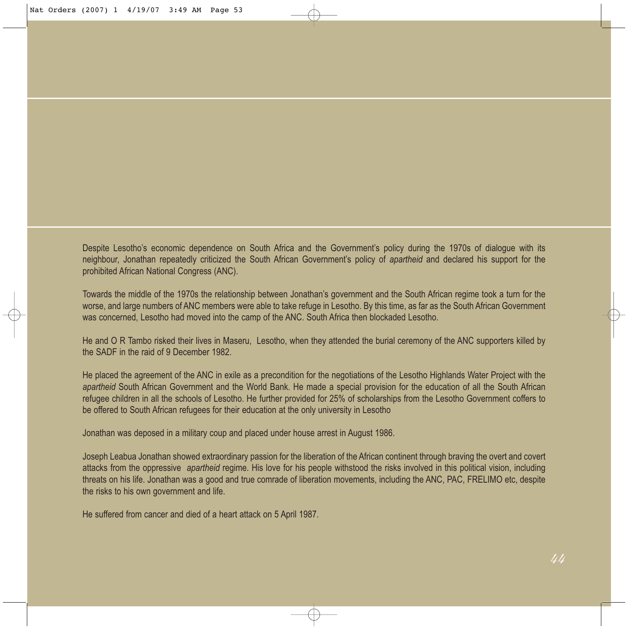Despite Lesotho's economic dependence on South Africa and the Government's policy during the 1970s of dialogue with its neighbour, Jonathan repeatedly criticized the South African Government's policy of *apartheid* and declared his support for the prohibited African National Congress (ANC).

Towards the middle of the 1970s the relationship between Jonathan's government and the South African regime took a turn for the worse, and large numbers of ANC members were able to take refuge in Lesotho. By this time, as far as the South African Government was concerned, Lesotho had moved into the camp of the ANC. South Africa then blockaded Lesotho.

He and O R Tambo risked their lives in Maseru, Lesotho, when they attended the burial ceremony of the ANC supporters killed by the SADF in the raid of 9 December 1982.

He placed the agreement of the ANC in exile as a precondition for the negotiations of the Lesotho Highlands Water Project with the *apartheid* South African Government and the World Bank. He made a special provision for the education of all the South African refugee children in all the schools of Lesotho. He further provided for 25% of scholarships from the Lesotho Government coffers to be offered to South African refugees for their education at the only university in Lesotho

Jonathan was deposed in a military coup and placed under house arrest in August 1986.

Joseph Leabua Jonathan showed extraordinary passion for the liberation of the African continent through braving the overt and covert attacks from the oppressive *apartheid* regime. His love for his people withstood the risks involved in this political vision, including threats on his life. Jonathan was a good and true comrade of liberation movements, including the ANC, PAC, FRELIMO etc, despite the risks to his own government and life.

He suffered from cancer and died of a heart attack on 5 April 1987.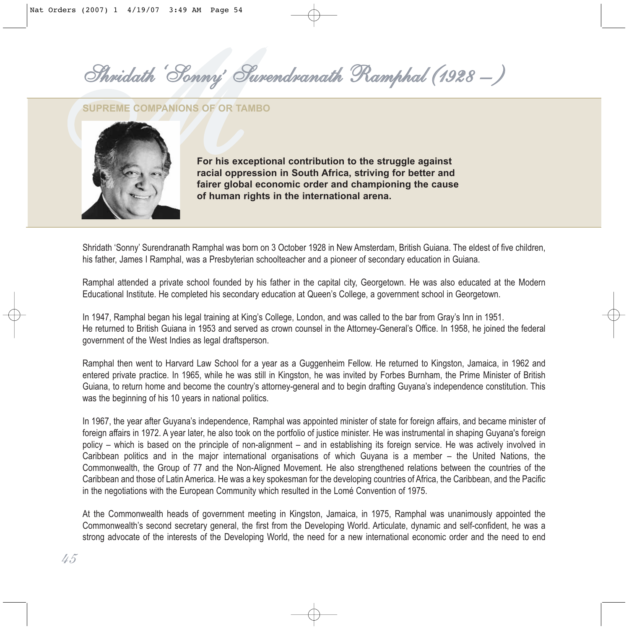*' Surendranath Ramphal (1928 – )*

#### **SUPREME COMPANIONS OF OR TAMBO**



**For his exceptional contribution to the struggle against racial oppression in South Africa, striving for better and fairer global economic order and championing the cause of human rights in the international arena.**

Shridath 'Sonny' Surendranath Ramphal was born on 3 October 1928 in New Amsterdam, British Guiana. The eldest of five children, his father, James I Ramphal, was a Presbyterian schoolteacher and a pioneer of secondary education in Guiana.

Ramphal attended a private school founded by his father in the capital city, Georgetown. He was also educated at the Modern Educational Institute. He completed his secondary education at Queen's College, a government school in Georgetown.

In 1947, Ramphal began his legal training at King's College, London, and was called to the bar from Gray's Inn in 1951. He returned to British Guiana in 1953 and served as crown counsel in the Attorney-General's Office. In 1958, he joined the federal government of the West Indies as legal draftsperson.

Ramphal then went to Harvard Law School for a year as a Guggenheim Fellow. He returned to Kingston, Jamaica, in 1962 and entered private practice. In 1965, while he was still in Kingston, he was invited by Forbes Burnham, the Prime Minister of British Guiana, to return home and become the country's attorney-general and to begin drafting Guyana's independence constitution. This was the beginning of his 10 years in national politics.

In 1967, the year after Guyana's independence, Ramphal was appointed minister of state for foreign affairs, and became minister of foreign affairs in 1972. A year later, he also took on the portfolio of justice minister. He was instrumental in shaping Guyana's foreign policy – which is based on the principle of non-alignment – and in establishing its foreign service. He was actively involved in Caribbean politics and in the major international organisations of which Guyana is a member – the United Nations, the Commonwealth, the Group of 77 and the Non-Aligned Movement. He also strengthened relations between the countries of the Caribbean and those of Latin America. He was a key spokesman for the developing countries of Africa, the Caribbean, and the Pacific in the negotiations with the European Community which resulted in the Lomé Convention of 1975.

At the Commonwealth heads of government meeting in Kingston, Jamaica, in 1975, Ramphal was unanimously appointed the Commonwealth's second secretary general, the first from the Developing World. Articulate, dynamic and self-confident, he was a strong advocate of the interests of the Developing World, the need for a new international economic order and the need to end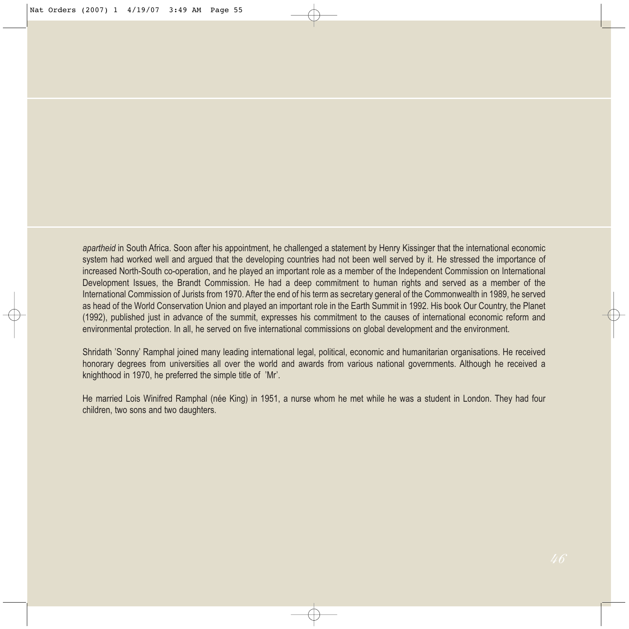*apartheid* in South Africa. Soon after his appointment, he challenged a statement by Henry Kissinger that the international economic system had worked well and argued that the developing countries had not been well served by it. He stressed the importance of increased North-South co-operation, and he played an important role as a member of the Independent Commission on International Development Issues, the Brandt Commission. He had a deep commitment to human rights and served as a member of the International Commission of Jurists from 1970. After the end of his term as secretary general of the Commonwealth in 1989, he served as head of the World Conservation Union and played an important role in the Earth Summit in 1992. His book Our Country, the Planet (1992), published just in advance of the summit, expresses his commitment to the causes of international economic reform and environmental protection. In all, he served on five international commissions on global development and the environment.

Shridath 'Sonny' Ramphal joined many leading international legal, political, economic and humanitarian organisations. He received honorary degrees from universities all over the world and awards from various national governments. Although he received a knighthood in 1970, he preferred the simple title of 'Mr'.

He married Lois Winifred Ramphal (née King) in 1951, a nurse whom he met while he was a student in London. They had four children, two sons and two daughters.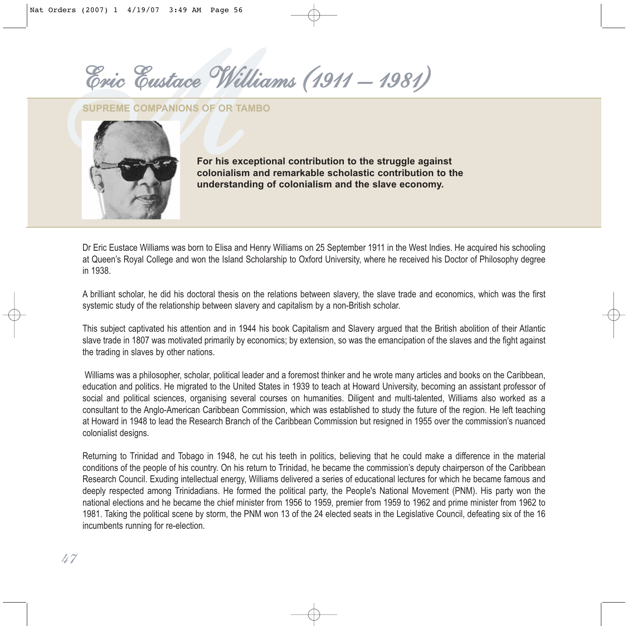*MEric Eustace Williams (1911 – 1981)*

**SUPREME COMPANIONS OF OR TAMBO**



**For his exceptional contribution to the struggle against colonialism and remarkable scholastic contribution to the understanding of colonialism and the slave economy.**

Dr Eric Eustace Williams was born to Elisa and Henry Williams on 25 September 1911 in the West Indies. He acquired his schooling at Queen's Royal College and won the Island Scholarship to Oxford University, where he received his Doctor of Philosophy degree in 1938.

A brilliant scholar, he did his doctoral thesis on the relations between slavery, the slave trade and economics, which was the first systemic study of the relationship between slavery and capitalism by a non-British scholar.

This subject captivated his attention and in 1944 his book Capitalism and Slavery argued that the British abolition of their Atlantic slave trade in 1807 was motivated primarily by economics; by extension, so was the emancipation of the slaves and the fight against the trading in slaves by other nations.

Williams was a philosopher, scholar, political leader and a foremost thinker and he wrote many articles and books on the Caribbean, education and politics. He migrated to the United States in 1939 to teach at Howard University, becoming an assistant professor of social and political sciences, organising several courses on humanities. Diligent and multi-talented, Williams also worked as a consultant to the Anglo-American Caribbean Commission, which was established to study the future of the region. He left teaching at Howard in 1948 to lead the Research Branch of the Caribbean Commission but resigned in 1955 over the commission's nuanced colonialist designs.

Returning to Trinidad and Tobago in 1948, he cut his teeth in politics, believing that he could make a difference in the material conditions of the people of his country. On his return to Trinidad, he became the commission's deputy chairperson of the Caribbean Research Council. Exuding intellectual energy, Williams delivered a series of educational lectures for which he became famous and deeply respected among Trinidadians. He formed the political party, the People's National Movement (PNM). His party won the national elections and he became the chief minister from 1956 to 1959, premier from 1959 to 1962 and prime minister from 1962 to 1981. Taking the political scene by storm, the PNM won 13 of the 24 elected seats in the Legislative Council, defeating six of the 16 incumbents running for re-election.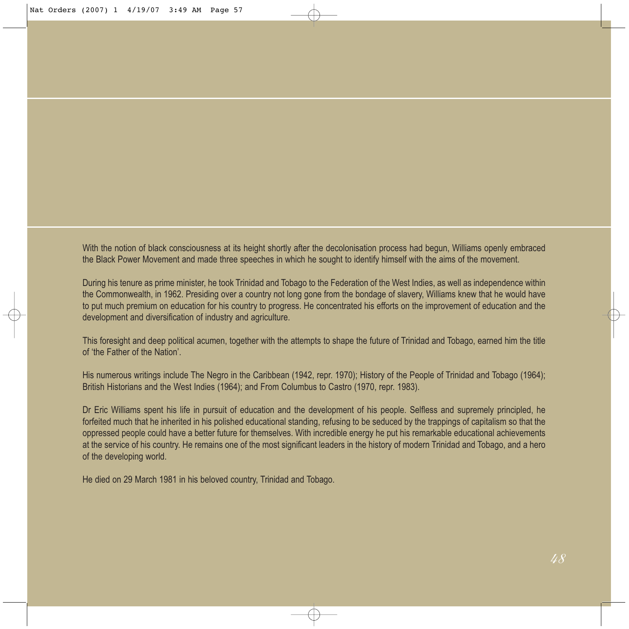With the notion of black consciousness at its height shortly after the decolonisation process had begun, Williams openly embraced the Black Power Movement and made three speeches in which he sought to identify himself with the aims of the movement.

During his tenure as prime minister, he took Trinidad and Tobago to the Federation of the West Indies, as well as independence within the Commonwealth, in 1962. Presiding over a country not long gone from the bondage of slavery, Williams knew that he would have to put much premium on education for his country to progress. He concentrated his efforts on the improvement of education and the development and diversification of industry and agriculture.

This foresight and deep political acumen, together with the attempts to shape the future of Trinidad and Tobago, earned him the title of 'the Father of the Nation'.

His numerous writings include The Negro in the Caribbean (1942, repr. 1970); History of the People of Trinidad and Tobago (1964); British Historians and the West Indies (1964); and From Columbus to Castro (1970, repr. 1983).

Dr Eric Williams spent his life in pursuit of education and the development of his people. Selfless and supremely principled, he forfeited much that he inherited in his polished educational standing, refusing to be seduced by the trappings of capitalism so that the oppressed people could have a better future for themselves. With incredible energy he put his remarkable educational achievements at the service of his country. He remains one of the most significant leaders in the history of modern Trinidad and Tobago, and a hero of the developing world.

He died on 29 March 1981 in his beloved country, Trinidad and Tobago.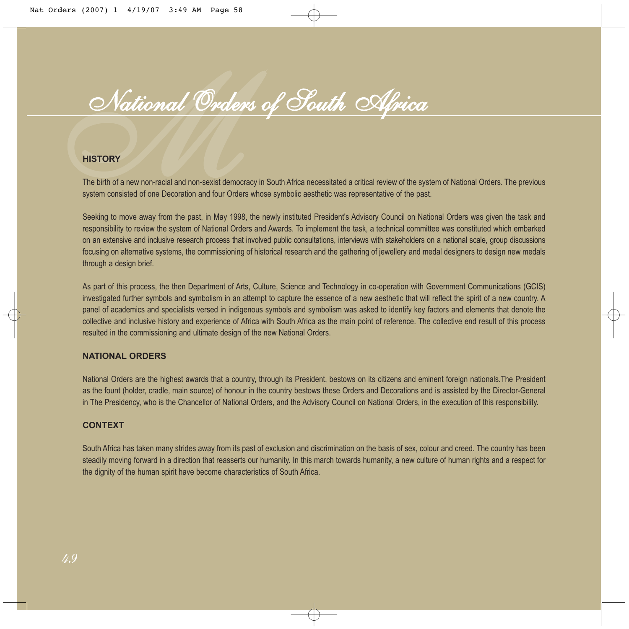# **Mational Order**<br>
The birth of a new non-racial and non-sexist demosystem consisted of one Decoration and four Order<br>
Seeking to move away from the past, in May 199 *National Orders of South Africa*

The birth of a new non-racial and non-sexist democracy in South Africa necessitated a critical review of the system of National Orders. The previous system consisted of one Decoration and four Orders whose symbolic aesthetic was representative of the past.

Seeking to move away from the past, in May 1998, the newly instituted President's Advisory Council on National Orders was given the task and responsibility to review the system of National Orders and Awards. To implement the task, a technical committee was constituted which embarked on an extensive and inclusive research process that involved public consultations, interviews with stakeholders on a national scale, group discussions focusing on alternative systems, the commissioning of historical research and the gathering of jewellery and medal designers to design new medals through a design brief.

As part of this process, the then Department of Arts, Culture, Science and Technology in co-operation with Government Communications (GCIS) investigated further symbols and symbolism in an attempt to capture the essence of a new aesthetic that will reflect the spirit of a new country. A panel of academics and specialists versed in indigenous symbols and symbolism was asked to identify key factors and elements that denote the collective and inclusive history and experience of Africa with South Africa as the main point of reference. The collective end result of this process resulted in the commissioning and ultimate design of the new National Orders.

#### **NATIONAL ORDERS**

National Orders are the highest awards that a country, through its President, bestows on its citizens and eminent foreign nationals.The President as the fount (holder, cradle, main source) of honour in the country bestows these Orders and Decorations and is assisted by the Director-General in The Presidency, who is the Chancellor of National Orders, and the Advisory Council on National Orders, in the execution of this responsibility.

#### **CONTEXT**

South Africa has taken many strides away from its past of exclusion and discrimination on the basis of sex, colour and creed. The country has been steadily moving forward in a direction that reasserts our humanity. In this march towards humanity, a new culture of human rights and a respect for the dignity of the human spirit have become characteristics of South Africa.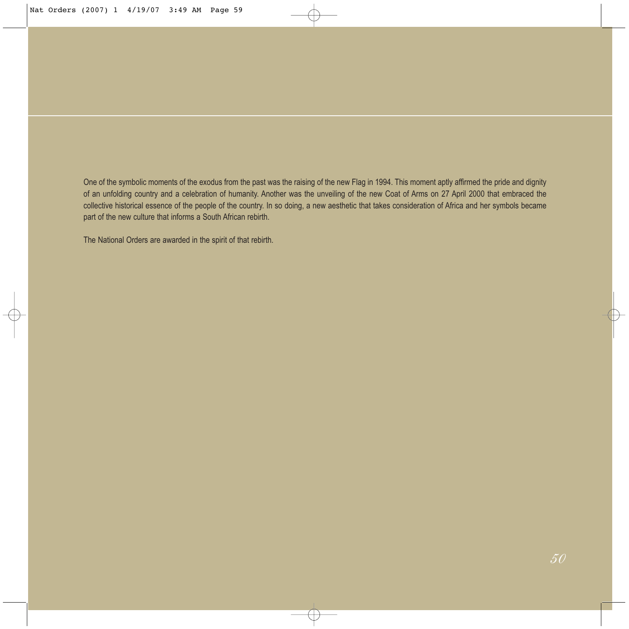One of the symbolic moments of the exodus from the past was the raising of the new Flag in 1994. This moment aptly affirmed the pride and dignity of an unfolding country and a celebration of humanity. Another was the unveiling of the new Coat of Arms on 27 April 2000 that embraced the collective historical essence of the people of the country. In so doing, a new aesthetic that takes consideration of Africa and her symbols became part of the new culture that informs a South African rebirth.

The National Orders are awarded in the spirit of that rebirth.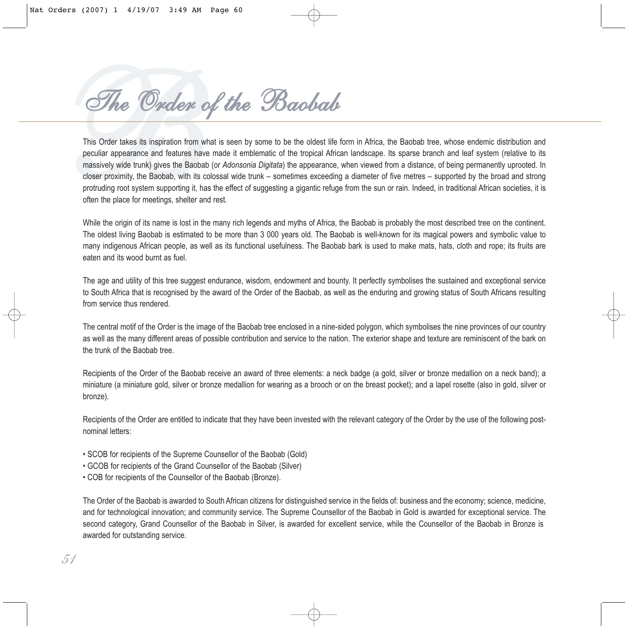*BThe Order of the Baobab*

This Order takes its inspiration from what is seen by some to be the oldest life form in Africa, the Baobab tree, whose endemic distribution and peculiar appearance and features have made it emblematic of the tropical African landscape. Its sparse branch and leaf system (relative to its massively wide trunk) gives the Baobab (or *Adonsonia Digitata*) the appearance, when viewed from a distance, of being permanently uprooted. In closer proximity, the Baobab, with its colossal wide trunk – sometimes exceeding a diameter of five metres – supported by the broad and strong protruding root system supporting it, has the effect of suggesting a gigantic refuge from the sun or rain. Indeed, in traditional African societies, it is often the place for meetings, shelter and rest.

While the origin of its name is lost in the many rich legends and myths of Africa, the Baobab is probably the most described tree on the continent. The oldest living Baobab is estimated to be more than 3 000 years old. The Baobab is well-known for its magical powers and symbolic value to many indigenous African people, as well as its functional usefulness. The Baobab bark is used to make mats, hats, cloth and rope; its fruits are eaten and its wood burnt as fuel.

The age and utility of this tree suggest endurance, wisdom, endowment and bounty. It perfectly symbolises the sustained and exceptional service to South Africa that is recognised by the award of the Order of the Baobab, as well as the enduring and growing status of South Africans resulting from service thus rendered.

The central motif of the Order is the image of the Baobab tree enclosed in a nine-sided polygon, which symbolises the nine provinces of our country as well as the many different areas of possible contribution and service to the nation. The exterior shape and texture are reminiscent of the bark on the trunk of the Baobab tree.

Recipients of the Order of the Baobab receive an award of three elements: a neck badge (a gold, silver or bronze medallion on a neck band); a miniature (a miniature gold, silver or bronze medallion for wearing as a brooch or on the breast pocket); and a lapel rosette (also in gold, silver or bronze).

Recipients of the Order are entitled to indicate that they have been invested with the relevant category of the Order by the use of the following postnominal letters:

- SCOB for recipients of the Supreme Counsellor of the Baobab (Gold)
- GCOB for recipients of the Grand Counsellor of the Baobab (Silver)
- COB for recipients of the Counsellor of the Baobab (Bronze).

The Order of the Baobab is awarded to South African citizens for distinguished service in the fields of: business and the economy; science, medicine, and for technological innovation; and community service. The Supreme Counsellor of the Baobab in Gold is awarded for exceptional service. The second category, Grand Counsellor of the Baobab in Silver, is awarded for excellent service, while the Counsellor of the Baobab in Bronze is awarded for outstanding service.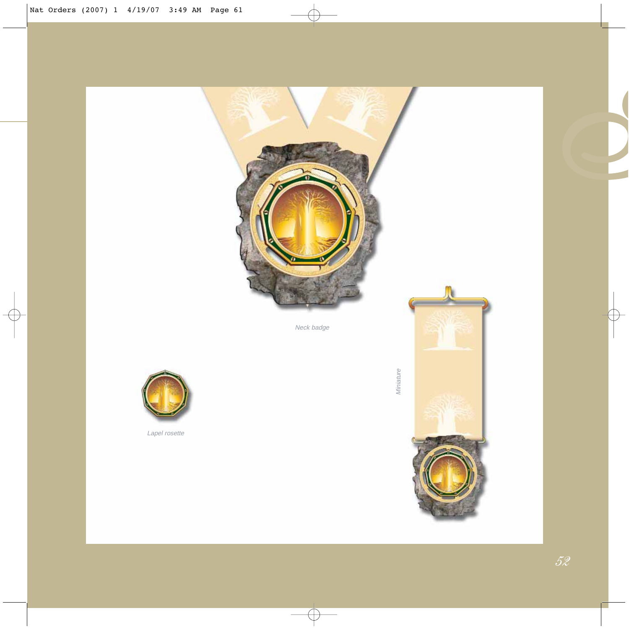



Lapel rosette

**P**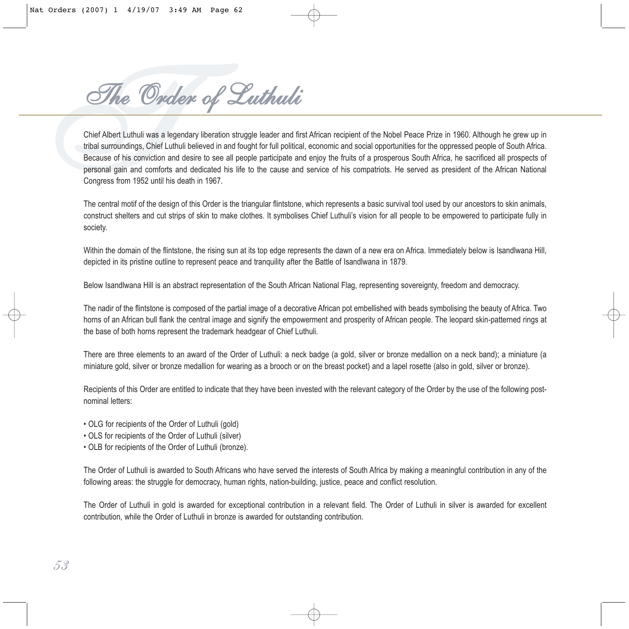*The Order of Luthuli*

*The Corolege of Historial Water Corolege Commission* Schief Albert Luthuli beilared and first African recipient of the Nobel Peace Prize in 1960. Although he grew up in tribal surroundings, Chief Luthuli believed in and f tribal surroundings, Chief Luthuli believed in and fought for full political, economic and social opportunities for the oppressed people of South Africa. Because of his conviction and desire to see all people participate and enjoy the fruits of a prosperous South Africa, he sacrificed all prospects of personal gain and comforts and dedicated his life to the cause and service of his compatriots. He served as president of the African National Congress from 1952 until his death in 1967.

The central motif of the design of this Order is the triangular flintstone, which represents a basic survival tool used by our ancestors to skin animals, construct shelters and cut strips of skin to make clothes. It symbolises Chief Luthuli's vision for all people to be empowered to participate fully in society.

Within the domain of the flintstone, the rising sun at its top edge represents the dawn of a new era on Africa. Immediately below is Isandlwana Hill, depicted in its pristine outline to represent peace and tranquility after the Battle of Isandlwana in 1879.

Below Isandlwana Hill is an abstract representation of the South African National Flag, representing sovereignty, freedom and democracy.

The nadir of the flintstone is composed of the partial image of a decorative African pot embellished with beads symbolising the beauty of Africa. Two horns of an African bull flank the central image and signify the empowerment and prosperity of African people. The leopard skin-patterned rings at the base of both horns represent the trademark headgear of Chief Luthuli.

There are three elements to an award of the Order of Luthuli: a neck badge (a gold, silver or bronze medallion on a neck band); a miniature (a miniature gold, silver or bronze medallion for wearing as a brooch or on the breast pocket) and a lapel rosette (also in gold, silver or bronze).

Recipients of this Order are entitled to indicate that they have been invested with the relevant category of the Order by the use of the following postnominal letters:

- OLG for recipients of the Order of Luthuli (gold)
- OLS for recipients of the Order of Luthuli (silver)
- OLB for recipients of the Order of Luthuli (bronze).

The Order of Luthuli is awarded to South Africans who have served the interests of South Africa by making a meaningful contribution in any of the following areas: the struggle for democracy, human rights, nation-building, justice, peace and conflict resolution.

The Order of Luthuli in gold is awarded for exceptional contribution in a relevant field. The Order of Luthuli in silver is awarded for excellent contribution, while the Order of Luthuli in bronze is awarded for outstanding contribution.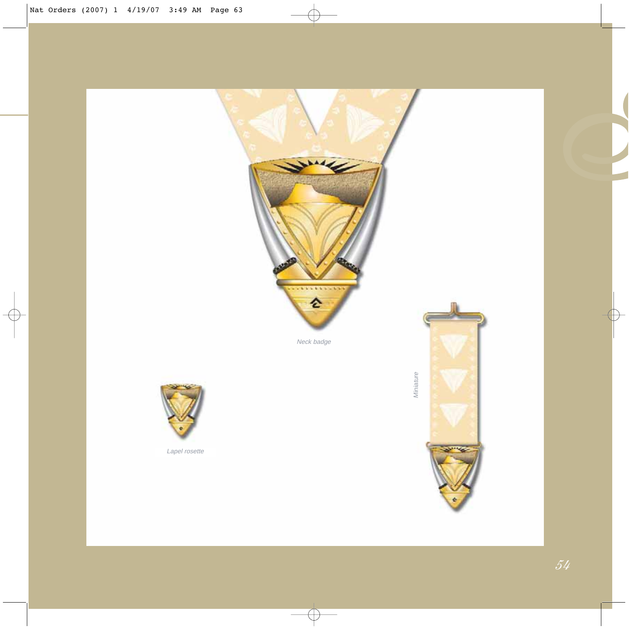

**P**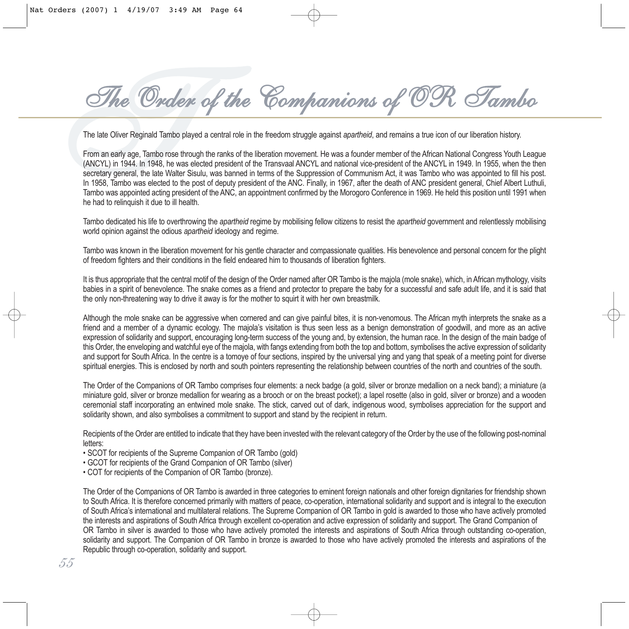*TThe Order of the Companions of OR Tambo*

The late Oliver Reginald Tambo played a central role in the freedom struggle against *apartheid*, and remains a true icon of our liberation history.

From an early age, Tambo rose through the ranks of the liberation movement. He was a founder member of the African National Congress Youth League (ANCYL) in 1944. In 1948, he was elected president of the Transvaal ANCYL and national vice-president of the ANCYL in 1949. In 1955, when the then secretary general, the late Walter Sisulu, was banned in terms of the Suppression of Communism Act, it was Tambo who was appointed to fill his post. In 1958, Tambo was elected to the post of deputy president of the ANC. Finally, in 1967, after the death of ANC president general, Chief Albert Luthuli, Tambo was appointed acting president of the ANC, an appointment confirmed by the Morogoro Conference in 1969. He held this position until 1991 when he had to relinquish it due to ill health.

Tambo dedicated his life to overthrowing the *apartheid* regime by mobilising fellow citizens to resist the *apartheid* government and relentlessly mobilising world opinion against the odious *apartheid* ideology and regime.

Tambo was known in the liberation movement for his gentle character and compassionate qualities. His benevolence and personal concern for the plight of freedom fighters and their conditions in the field endeared him to thousands of liberation fighters.

It is thus appropriate that the central motif of the design of the Order named after OR Tambo is the majola (mole snake), which, in African mythology, visits babies in a spirit of benevolence. The snake comes as a friend and protector to prepare the baby for a successful and safe adult life, and it is said that the only non-threatening way to drive it away is for the mother to squirt it with her own breastmilk.

Although the mole snake can be aggressive when cornered and can give painful bites, it is non-venomous. The African myth interprets the snake as a friend and a member of a dynamic ecology. The majola's visitation is thus seen less as a benign demonstration of goodwill, and more as an active expression of solidarity and support, encouraging long-term success of the young and, by extension, the human race. In the design of the main badge of this Order, the enveloping and watchful eye of the majola, with fangs extending from both the top and bottom, symbolises the active expression of solidarity and support for South Africa. In the centre is a tomoye of four sections, inspired by the universal ying and yang that speak of a meeting point for diverse spiritual energies. This is enclosed by north and south pointers representing the relationship between countries of the north and countries of the south.

The Order of the Companions of OR Tambo comprises four elements: a neck badge (a gold, silver or bronze medallion on a neck band); a miniature (a miniature gold, silver or bronze medallion for wearing as a brooch or on the breast pocket); a lapel rosette (also in gold, silver or bronze) and a wooden ceremonial staff incorporating an entwined mole snake. The stick, carved out of dark, indigenous wood, symbolises appreciation for the support and solidarity shown, and also symbolises a commitment to support and stand by the recipient in return.

Recipients of the Order are entitled to indicate that they have been invested with the relevant category of the Order by the use of the following post-nominal letters:

- SCOT for recipients of the Supreme Companion of OR Tambo (gold)
- GCOT for recipients of the Grand Companion of OR Tambo (silver)
- COT for recipients of the Companion of OR Tambo (bronze).

The Order of the Companions of OR Tambo is awarded in three categories to eminent foreign nationals and other foreign dignitaries for friendship shown to South Africa. It is therefore concerned primarily with matters of peace, co-operation, international solidarity and support and is integral to the execution of South Africa's international and multilateral relations. The Supreme Companion of OR Tambo in gold is awarded to those who have actively promoted the interests and aspirations of South Africa through excellent co-operation and active expression of solidarity and support. The Grand Companion of OR Tambo in silver is awarded to those who have actively promoted the interests and aspirations of South Africa through outstanding co-operation, solidarity and support. The Companion of OR Tambo in bronze is awarded to those who have actively promoted the interests and aspirations of the Republic through co-operation, solidarity and support.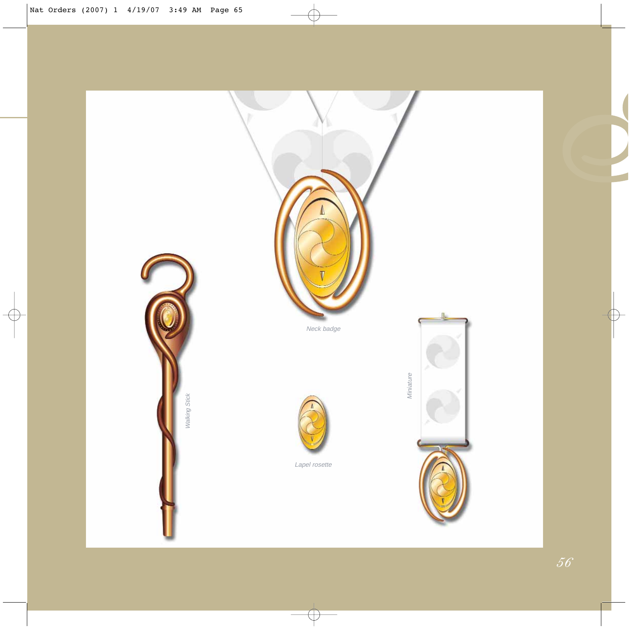